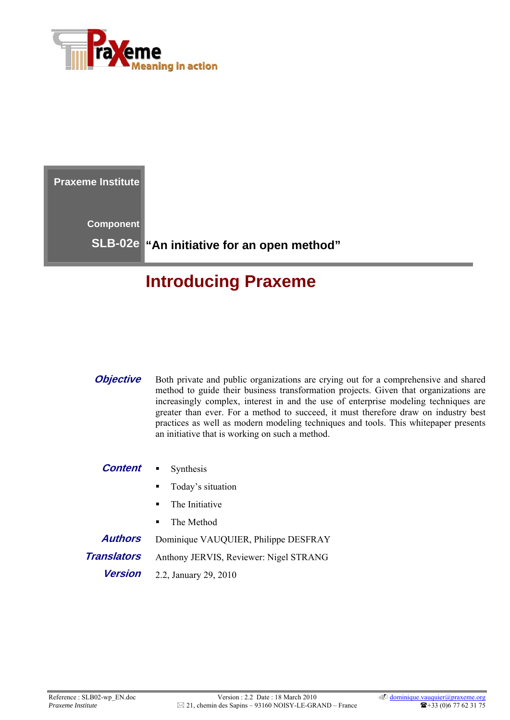

**Praxeme Institute Component SLB-02e "An initiative for an open method"** 

# **Introducing Praxeme**

**Objective** Both private and public organizations are crying out for a comprehensive and shared method to guide their business transformation projects. Given that organizations are increasingly complex, interest in and the use of enterprise modeling techniques are greater than ever. For a method to succeed, it must therefore draw on industry best practices as well as modern modeling techniques and tools. This whitepaper presents an initiative that is working on such a method.

#### **Content •** Synthesis

- **Today's situation**
- The Initiative
- The Method

**Authors** Dominique VAUQUIER, Philippe DESFRAY

**Translators** Anthony JERVIS, Reviewer: Nigel STRANG

**Version** 2.2, January 29, 2010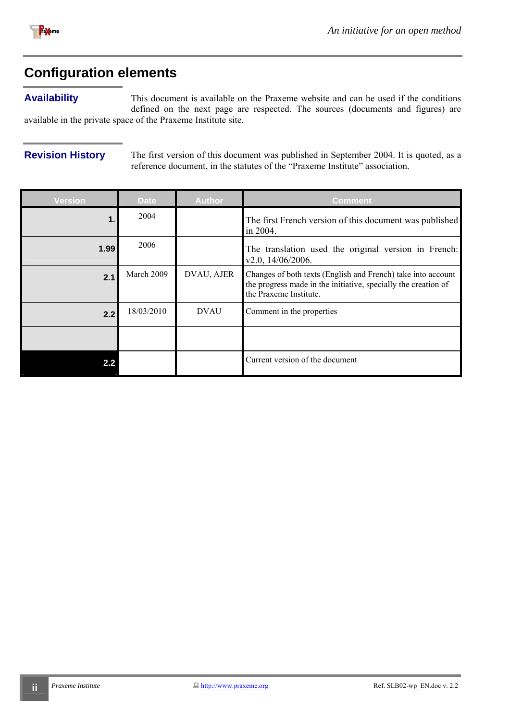<span id="page-1-0"></span>

# **Configuration elements**

#### **Availability**

This document is available on the Praxeme website and can be used if the conditions defined on the next page are respected. The sources (documents and figures) are available in the private space of the Praxeme Institute site.

**Revision History** The first version of this document was published in September 2004. It is quoted, as a reference document, in the statutes of the "Praxeme Institute" association.

| <b>Version</b> | <b>Date</b> | <b>Author</b> | <b>Comment</b>                                                                                                                                           |
|----------------|-------------|---------------|----------------------------------------------------------------------------------------------------------------------------------------------------------|
| $\mathbf 1$ .  | 2004        |               | The first French version of this document was published<br>in 2004.                                                                                      |
| 1.99           | 2006        |               | The translation used the original version in French:<br>v2.0, 14/06/2006.                                                                                |
| 2.1            | March 2009  | DVAU, AJER    | Changes of both texts (English and French) take into account<br>the progress made in the initiative, specially the creation of<br>the Praxeme Institute. |
| 2.2            | 18/03/2010  | <b>DVAU</b>   | Comment in the properties                                                                                                                                |
|                |             |               |                                                                                                                                                          |
|                |             |               | Current version of the document                                                                                                                          |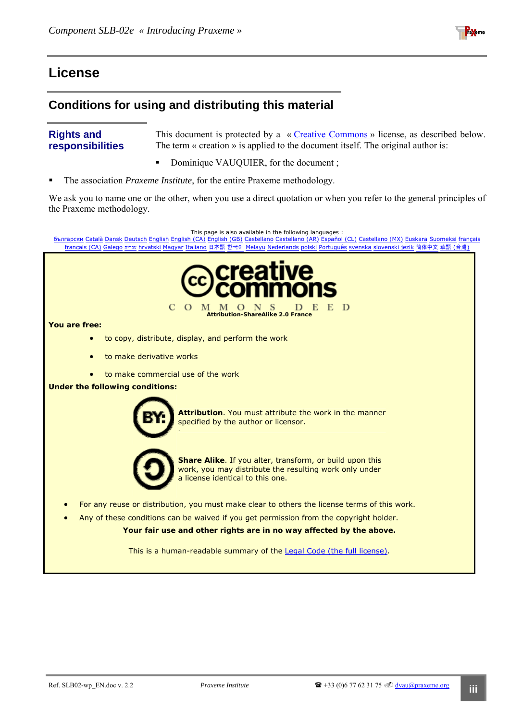

## <span id="page-2-0"></span>**License**

### **Conditions for using and distributing this material**

#### **Rights and responsibilities**

This document is protected by a « [Creative Commons »](http://creativecommons.org/) license, as described below. The term « creation » is applied to the document itself. The original author is:

- Dominique VAUQUIER, for the document;
- The association *Praxeme Institute*, for the entire Praxeme methodology.

We ask you to name one or the other, when you use a direct quotation or when you refer to the general principles of the Praxeme methodology.

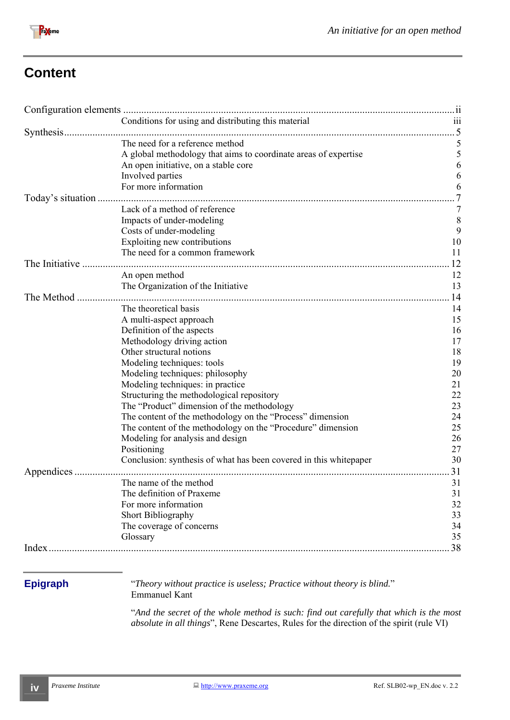

# **Content**

|                   | Conditions for using and distributing this material               | $\overline{111}$ |
|-------------------|-------------------------------------------------------------------|------------------|
|                   |                                                                   |                  |
|                   | The need for a reference method                                   | 5                |
|                   | A global methodology that aims to coordinate areas of expertise   | 5                |
|                   | An open initiative, on a stable core                              | 6                |
|                   | Involved parties                                                  | 6                |
|                   | For more information                                              | 6                |
| Today's situation |                                                                   |                  |
|                   | Lack of a method of reference                                     | 7                |
|                   | Impacts of under-modeling                                         | 8                |
|                   | Costs of under-modeling                                           | 9                |
|                   | Exploiting new contributions                                      | 10               |
|                   | The need for a common framework                                   | 11               |
| The Initiative    |                                                                   | 12               |
|                   | An open method                                                    | 12               |
|                   | The Organization of the Initiative                                | 13               |
| The Method        |                                                                   | 14               |
|                   | The theoretical basis                                             | 14               |
|                   | A multi-aspect approach                                           | 15               |
|                   | Definition of the aspects                                         | 16               |
|                   | Methodology driving action                                        | 17               |
|                   | Other structural notions                                          | 18               |
|                   |                                                                   | 19               |
|                   | Modeling techniques: tools                                        |                  |
|                   | Modeling techniques: philosophy                                   | 20               |
|                   | Modeling techniques: in practice                                  | 21               |
|                   | Structuring the methodological repository                         | 22               |
|                   | The "Product" dimension of the methodology                        | 23               |
|                   | The content of the methodology on the "Process" dimension         | 24               |
|                   | The content of the methodology on the "Procedure" dimension       | 25               |
|                   | Modeling for analysis and design                                  | 26               |
|                   | Positioning                                                       | 27               |
|                   | Conclusion: synthesis of what has been covered in this whitepaper | 30               |
| Appendices        |                                                                   | 31               |
|                   | The name of the method                                            | 31               |
|                   | The definition of Praxeme                                         | 31               |
|                   | For more information                                              | 32               |
|                   | Short Bibliography                                                | 33               |
|                   | The coverage of concerns                                          | 34               |
|                   | Glossary                                                          | 35               |
|                   |                                                                   | 38               |
|                   |                                                                   |                  |
|                   |                                                                   |                  |

**Epigraph** "*Theory without practice is useless; Practice without theory is blind.*" Emmanuel Kant

> "*And the secret of the whole method is such: find out carefully that which is the most absolute in all things*", Rene Descartes, Rules for the direction of the spirit (rule VI)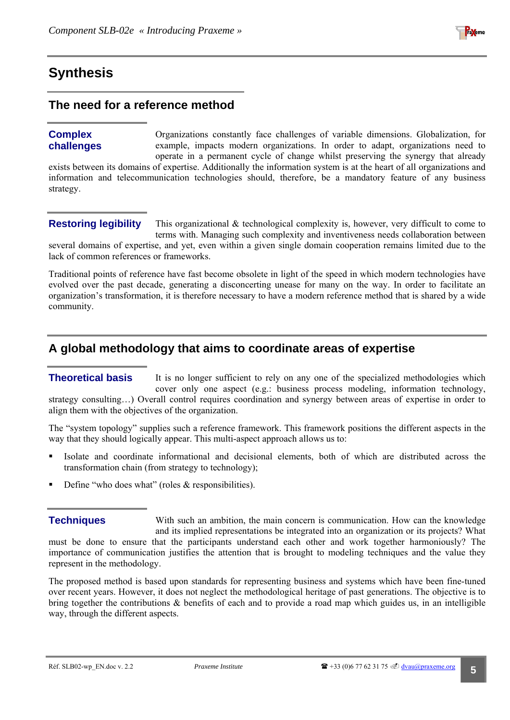

## <span id="page-4-1"></span><span id="page-4-0"></span>**Synthesis**

#### **The need for a reference method**

#### **Complex challenges**

Organizations constantly face challenges of variable dimensions. Globalization, for example, impacts modern organizations. In order to adapt, organizations need to operate in a permanent cycle of change whilst preserving the synergy that already

exists between its domains of expertise. Additionally the information system is at the heart of all organizations and information and telecommunication technologies should, therefore, be a mandatory feature of any business strategy.

#### **Restoring legibility**

This organizational & technological complexity is, however, very difficult to come to terms with. Managing such complexity and inventiveness needs collaboration between several domains of expertise, and yet, even within a given single domain cooperation remains limited due to the lack of common references or frameworks.

Traditional points of reference have fast become obsolete in light of the speed in which modern technologies have evolved over the past decade, generating a disconcerting unease for many on the way. In order to facilitate an organization's transformation, it is therefore necessary to have a modern reference method that is shared by a wide community.

### **A global methodology that aims to coordinate areas of expertise**

#### It is no longer sufficient to rely on any one of the specialized methodologies which cover only one aspect (e.g.: business process modeling, information technology, **Theoretical basis**

strategy consulting…) Overall control requires coordination and synergy between areas of expertise in order to align them with the objectives of the organization.

The "system topology" supplies such a reference framework. This framework positions the different aspects in the way that they should logically appear. This multi-aspect approach allows us to:

- Isolate and coordinate informational and decisional elements, both of which are distributed across the transformation chain (from strategy to technology);
- Define "who does what" (roles  $&$  responsibilities).

With such an ambition, the main concern is communication. How can the knowledge and its implied representations be integrated into an organization or its projects? What must be done to ensure that the participants understand each other and work together harmoniously? The importance of communication justifies the attention that is brought to modeling techniques and the value they represent in the methodology. **Techniques** 

The proposed method is based upon standards for representing business and systems which have been fine-tuned over recent years. However, it does not neglect the methodological heritage of past generations. The objective is to bring together the contributions & benefits of each and to provide a road map which guides us, in an intelligible way, through the different aspects.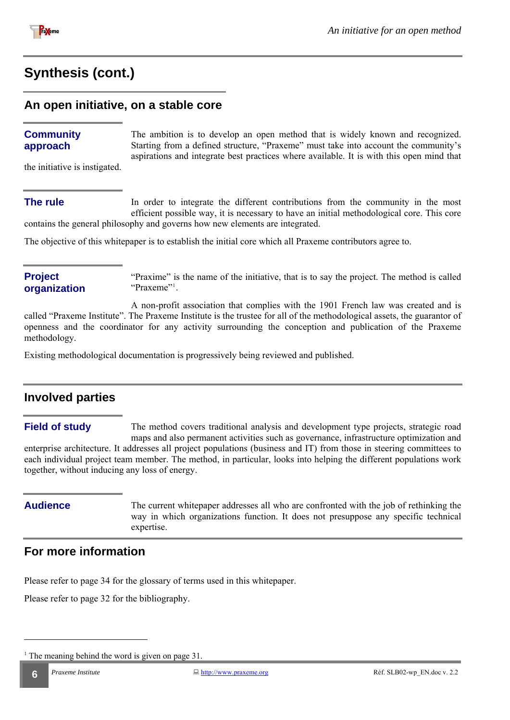<span id="page-5-0"></span>

## **Synthesis [\(cont.\)](#page-4-1)**

#### **An open initiative, on a stable core**

#### **Community approach**

The ambition is to develop an open method that is widely known and recognized. Starting from a defined structure, "Praxeme" must take into account the community's aspirations and integrate best practices where available. It is with this open mind that

the initiative is instigated.

#### **The rule**

In order to integrate the different contributions from the community in the most efficient possible way, it is necessary to have an initial methodological core. This core contains the general philosophy and governs how new elements are integrated.

The objective of this whitepaper is to establish the initial core which all Praxeme contributors agree to.

#### **Project organization**

"Praxime" is the name of the initiative, that is to say the project. The method is called "Praxeme"<sup>[1](#page-5-1)</sup>.

A non-profit association that complies with the 1901 French law was created and is called "Praxeme Institute". The Praxeme Institute is the trustee for all of the methodological assets, the guarantor of openness and the coordinator for any activity surrounding the conception and publication of the Praxeme methodology.

Existing methodological documentation is progressively being reviewed and published.

## **Involved parties**

The method covers traditional analysis and development type projects, strategic road maps and also permanent activities such as governance, infrastructure optimization and enterprise architecture. It addresses all project populations (business and IT) from those in steering committees to each individual project team member. The method, in particular, looks into helping the different populations work together, without inducing any loss of energy. **Field of study** 

**Audience** The current whitepaper addresses all who are confronted with the job of rethinking the way in which organizations function. It does not presuppose any specific technical expertise.

## **For more information**

Please refer to page [34](#page-34-1) for the glossary of terms used in this whitepaper.

Please refer to page [32](#page-31-1) for the bibliography.

<span id="page-5-1"></span><sup>&</sup>lt;sup>1</sup> The meaning behind the word is given on page 31.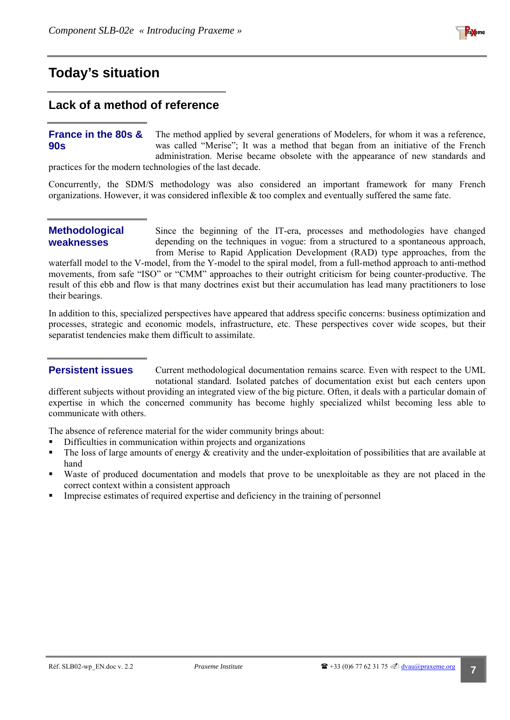## <span id="page-6-1"></span><span id="page-6-0"></span>**Today's situation**

#### **Lack of a method of reference**

#### The method applied by several generations of Modelers, for whom it was a reference, was called "Merise"; It was a method that began from an initiative of the French administration. Merise became obsolete with the appearance of new standards and **France in the 80s & 90s**

practices for the modern technologies of the last decade.

Concurrently, the SDM/S methodology was also considered an important framework for many French organizations. However, it was considered inflexible & too complex and eventually suffered the same fate.

#### **Methodological weaknesses**

Since the beginning of the IT-era, processes and methodologies have changed depending on the techniques in vogue: from a structured to a spontaneous approach, from Merise to Rapid Application Development (RAD) type approaches, from the

waterfall model to the V-model, from the Y-model to the spiral model, from a full-method approach to anti-method movements, from safe "ISO" or "CMM" approaches to their outright criticism for being counter-productive. The result of this ebb and flow is that many doctrines exist but their accumulation has lead many practitioners to lose their bearings.

In addition to this, specialized perspectives have appeared that address specific concerns: business optimization and processes, strategic and economic models, infrastructure, etc. These perspectives cover wide scopes, but their separatist tendencies make them difficult to assimilate.

#### **Persistent issues**

Current methodological documentation remains scarce. Even with respect to the UML notational standard. Isolated patches of documentation exist but each centers upon different subjects without providing an integrated view of the big picture. Often, it deals with a particular domain of

expertise in which the concerned community has become highly specialized whilst becoming less able to communicate with others.

The absence of reference material for the wider community brings about:

- Difficulties in communication within projects and organizations
- The loss of large amounts of energy  $\&$  creativity and the under-exploitation of possibilities that are available at hand
- Waste of produced documentation and models that prove to be unexploitable as they are not placed in the correct context within a consistent approach
- Imprecise estimates of required expertise and deficiency in the training of personnel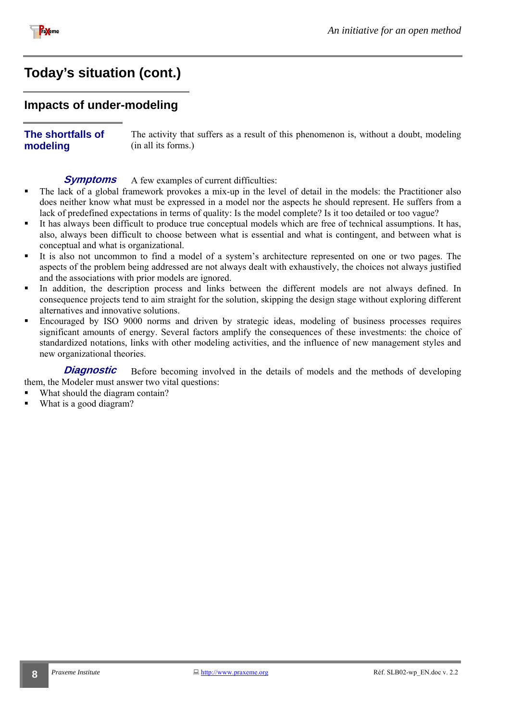<span id="page-7-0"></span>

## **Today's situatio[n \(cont.\)](#page-6-1)**

#### **Impacts of under-modeling**

#### **The shortfalls of modeling**

The activity that suffers as a result of this phenomenon is, without a doubt, modeling (in all its forms.)

#### A few examples of current difficulties: **Symptoms**

- The lack of a global framework provokes a mix-up in the level of detail in the models: the Practitioner also does neither know what must be expressed in a model nor the aspects he should represent. He suffers from a lack of predefined expectations in terms of quality: Is the model complete? Is it too detailed or too vague?
- It has always been difficult to produce true conceptual models which are free of technical assumptions. It has, also, always been difficult to choose between what is essential and what is contingent, and between what is conceptual and what is organizational.
- It is also not uncommon to find a model of a system's architecture represented on one or two pages. The aspects of the problem being addressed are not always dealt with exhaustively, the choices not always justified and the associations with prior models are ignored.
- In addition, the description process and links between the different models are not always defined. In consequence projects tend to aim straight for the solution, skipping the design stage without exploring different alternatives and innovative solutions.
- Encouraged by ISO 9000 norms and driven by strategic ideas, modeling of business processes requires significant amounts of energy. Several factors amplify the consequences of these investments: the choice of standardized notations, links with other modeling activities, and the influence of new management styles and new organizational theories.

Before becoming involved in the details of models and the methods of developing them, the Modeler must answer two vital questions: **Diagnostic** 

- What should the diagram contain?
- What is a good diagram?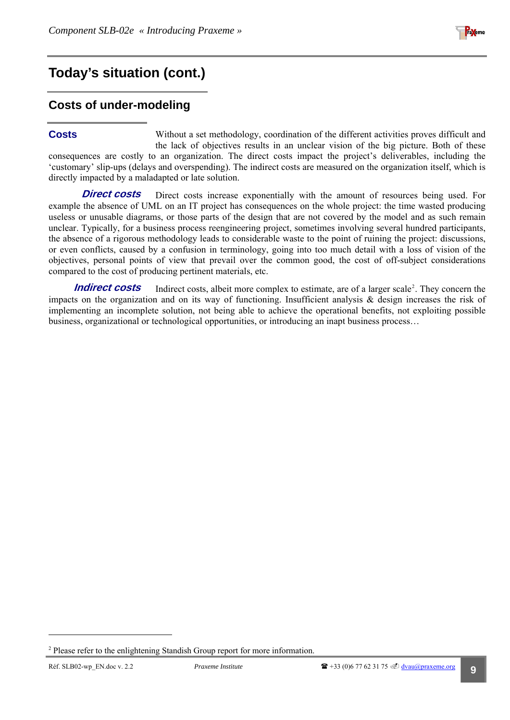

## <span id="page-8-0"></span>**Today's situation [\(cont.\)](#page-6-1)**

## **Costs of under-modeling**

#### **Costs**

Without a set methodology, coordination of the different activities proves difficult and the lack of objectives results in an unclear vision of the big picture. Both of these consequences are costly to an organization. The direct costs impact the project's deliverables, including the 'customary' slip-ups (delays and overspending). The indirect costs are measured on the organization itself, which is directly impacted by a maladapted or late solution.

Direct costs increase exponentially with the amount of resources being used. For example the absence of UML on an IT project has consequences on the whole project: the time wasted producing useless or unusable diagrams, or those parts of the design that are not covered by the model and as such remain unclear. Typically, for a business process reengineering project, sometimes involving several hundred participants, the absence of a rigorous methodology leads to considerable waste to the point of ruining the project: discussions, or even conflicts, caused by a confusion in terminology, going into too much detail with a loss of vision of the objectives, personal points of view that prevail over the common good, the cost of off-subject considerations compared to the cost of producing pertinent materials, etc. **Direct costs** 

Indirect costs, albeit more complex to estimate, are of a larger scale<sup>[2](#page-8-1)</sup>. They concern the impacts on the organization and on its way of functioning. Insufficient analysis & design increases the risk of implementing an incomplete solution, not being able to achieve the operational benefits, not exploiting possible business, organizational or technological opportunities, or introducing an inapt business process… **Indirect costs** 

<span id="page-8-1"></span><sup>&</sup>lt;sup>2</sup> Please refer to the enlightening Standish Group report for more information.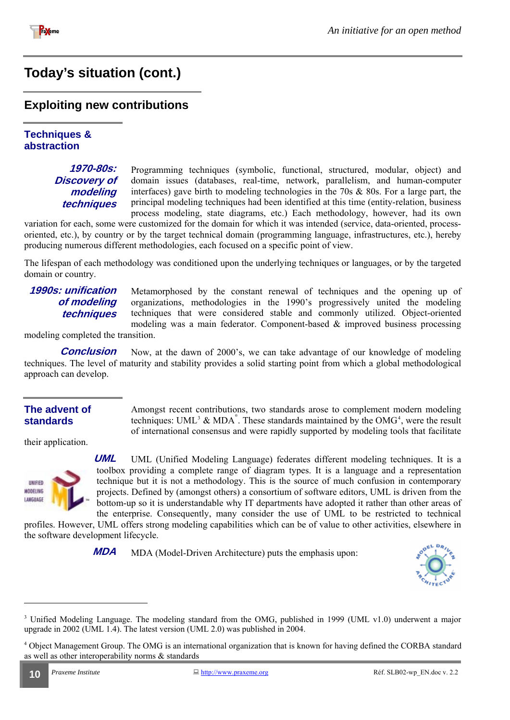<span id="page-9-0"></span>

# **Today's situatio[n \(cont.\)](#page-6-1)**

#### **Exploiting new contributions**

#### **Techniques & abstraction**

#### **1970-80s: Discovery of modeling techniques**

Programming techniques (symbolic, functional, structured, modular, object) and domain issues (databases, real-time, network, parallelism, and human-computer interfaces) gave birth to modeling technologies in the 70s & 80s. For a large part, the principal modeling techniques had been identified at this time (entity-relation, business process modeling, state diagrams, etc.) Each methodology, however, had its own

variation for each, some were customized for the domain for which it was intended (service, data-oriented, processoriented, etc.), by country or by the target technical domain (programming language, infrastructures, etc.), hereby producing numerous different methodologies, each focused on a specific point of view.

The lifespan of each methodology was conditioned upon the underlying techniques or languages, or by the targeted domain or country.

#### **1990s: unification of modeling techniques**

Metamorphosed by the constant renewal of techniques and the opening up of organizations, methodologies in the 1990's progressively united the modeling techniques that were considered stable and commonly utilized. Object-oriented modeling was a main federator. Component-based & improved business processing

Amongst recent contributions, two standards arose to complement modern modeling techniques: UML<sup>[3](#page-9-1)</sup> & MDA<sup>®</sup>. These standards maintained by the OMG<sup>[4](#page-9-2)</sup>, were the result of international consensus and were rapidly supported by modeling tools that facilitate

modeling completed the transition.

Now, at the dawn of 2000's, we can take advantage of our knowledge of modeling techniques. The level of maturity and stability provides a solid starting point from which a global methodological approach can develop. **Conclusion** 

#### **The advent of standards**

their application.



UML (Unified Modeling Language) federates different modeling techniques. It is a toolbox providing a complete range of diagram types. It is a language and a representation technique but it is not a methodology. This is the source of much confusion in contemporary projects. Defined by (amongst others) a consortium of software editors, UML is driven from the bottom-up so it is understandable why IT departments have adopted it rather than other areas of **UML** 

the enterprise. Consequently, many consider the use of UML to be restricted to technical profiles. However, UML offers strong modeling capabilities which can be of value to other activities, elsewhere in the software development lifecycle.

**MDA** MDA (Model-Driven Architecture) puts the emphasis upon:



<sup>&</sup>lt;sup>3</sup> Unified Modeling Language. The modeling standard from the OMG, published in 1999 (UML v1.0) underwent a major upgrade in 2002 (UML 1.4). The latest version (UML 2.0) was published in 2004.

<span id="page-9-2"></span><span id="page-9-1"></span><sup>&</sup>lt;sup>4</sup> Object Management Group. The OMG is an international organization that is known for having defined the CORBA standard as well as other interoperability norms & standards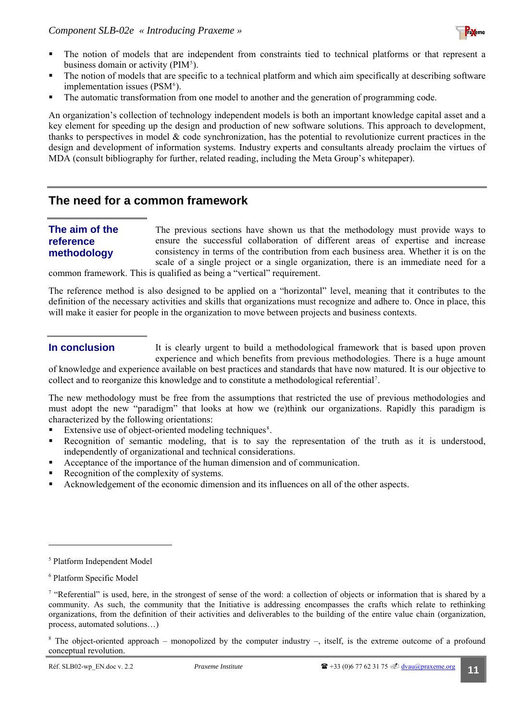

- <span id="page-10-0"></span> The notion of models that are independent from constraints tied to technical platforms or that represent a business domain or activity  $(PIM<sup>5</sup>)$  $(PIM<sup>5</sup>)$  $(PIM<sup>5</sup>)$ .
- The notion of models that are specific to a technical platform and which aim specifically at describing software implementation issues (PSM<sup>[6](#page-10-2)</sup>).
- The automatic transformation from one model to another and the generation of programming code.

An organization's collection of technology independent models is both an important knowledge capital asset and a key element for speeding up the design and production of new software solutions. This approach to development, thanks to perspectives in model & code synchronization, has the potential to revolutionize current practices in the design and development of information systems. Industry experts and consultants already proclaim the virtues of MDA (consult bibliography for further, related reading, including the Meta Group's whitepaper).

#### **The need for a common framework**

#### **The aim of the reference methodology**

The previous sections have shown us that the methodology must provide ways to ensure the successful collaboration of different areas of expertise and increase consistency in terms of the contribution from each business area. Whether it is on the scale of a single project or a single organization, there is an immediate need for a

common framework. This is qualified as being a "vertical" requirement.

The reference method is also designed to be applied on a "horizontal" level, meaning that it contributes to the definition of the necessary activities and skills that organizations must recognize and adhere to. Once in place, this will make it easier for people in the organization to move between projects and business contexts.

#### **In conclusion**

It is clearly urgent to build a methodological framework that is based upon proven experience and which benefits from previous methodologies. There is a huge amount

of knowledge and experience available on best practices and standards that have now matured. It is our objective to collect and to reorganize this knowledge and to constitute a methodological referential<sup>[7](#page-10-3)</sup>.

The new methodology must be free from the assumptions that restricted the use of previous methodologies and must adopt the new "paradigm" that looks at how we (re)think our organizations. Rapidly this paradigm is characterized by the following orientations:

- Extensive use of object-oriented modeling techniques<sup>[8](#page-10-4)</sup>.
- Recognition of semantic modeling, that is to say the representation of the truth as it is understood, independently of organizational and technical considerations.
- Acceptance of the importance of the human dimension and of communication.
- Recognition of the complexity of systems.
- Acknowledgement of the economic dimension and its influences on all of the other aspects.

<span id="page-10-1"></span><sup>5</sup> Platform Independent Model

<span id="page-10-2"></span><sup>6</sup> Platform Specific Model

<span id="page-10-3"></span><sup>&</sup>lt;sup>7</sup> "Referential" is used, here, in the strongest of sense of the word: a collection of objects or information that is shared by a community. As such, the community that the Initiative is addressing encompasses the crafts which relate to rethinking organizations, from the definition of their activities and deliverables to the building of the entire value chain (organization, process, automated solutions…)

<span id="page-10-4"></span><sup>&</sup>lt;sup>8</sup> The object-oriented approach – monopolized by the computer industry –, itself, is the extreme outcome of a profound conceptual revolution.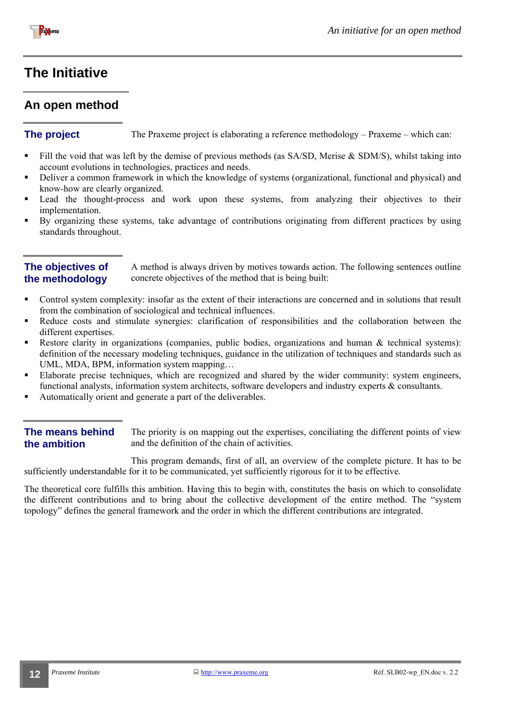<span id="page-11-0"></span>

## <span id="page-11-1"></span>**The Initiative**

## **An open method**

**The project** The Praxeme project is elaborating a reference methodology – Praxeme – which can:

- Fill the void that was left by the demise of previous methods (as  $SA/SD$ , Merise & SDM/S), whilst taking into account evolutions in technologies, practices and needs.
- Deliver a common framework in which the knowledge of systems (organizational, functional and physical) and know-how are clearly organized.
- Lead the thought-process and work upon these systems, from analyzing their objectives to their implementation.
- By organizing these systems, take advantage of contributions originating from different practices by using standards throughout.

#### **The objectives of the methodology**

A method is always driven by motives towards action. The following sentences outline concrete objectives of the method that is being built:

- Control system complexity: insofar as the extent of their interactions are concerned and in solutions that result from the combination of sociological and technical influences.
- Reduce costs and stimulate synergies: clarification of responsibilities and the collaboration between the different expertises.
- Restore clarity in organizations (companies, public bodies, organizations and human & technical systems): definition of the necessary modeling techniques, guidance in the utilization of techniques and standards such as UML, MDA, BPM, information system mapping…
- Elaborate precise techniques, which are recognized and shared by the wider community: system engineers, functional analysts, information system architects, software developers and industry experts & consultants.
- Automatically orient and generate a part of the deliverables.

#### **The means behind the ambition**

The priority is on mapping out the expertises, conciliating the different points of view and the definition of the chain of activities.

This program demands, first of all, an overview of the complete picture. It has to be sufficiently understandable for it to be communicated, yet sufficiently rigorous for it to be effective.

The theoretical core fulfills this ambition. Having this to begin with, constitutes the basis on which to consolidate the different contributions and to bring about the collective development of the entire method. The "system topology" defines the general framework and the order in which the different contributions are integrated.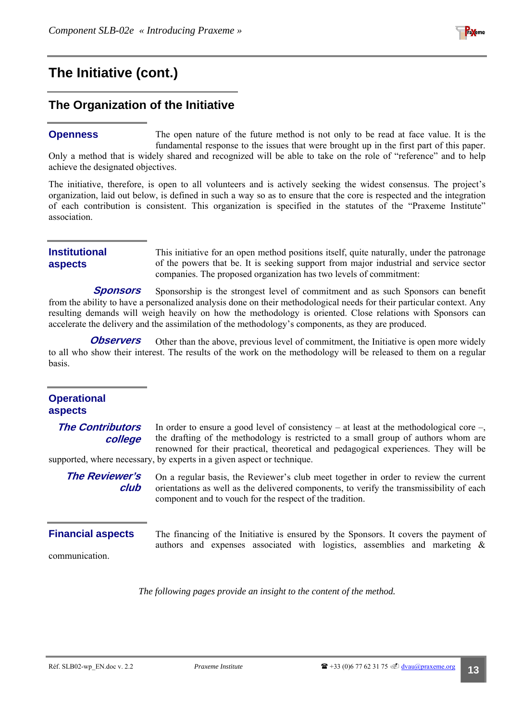

## <span id="page-12-0"></span>**The Initiativ[e \(cont.\)](#page-11-1)**

## **The Organization of the Initiative**

The open nature of the future method is not only to be read at face value. It is the fundamental response to the issues that were brought up in the first part of this paper. Only a method that is widely shared and recognized will be able to take on the role of "reference" and to help achieve the designated objectives. **Openness** 

The initiative, therefore, is open to all volunteers and is actively seeking the widest consensus. The project's organization, laid out below, is defined in such a way so as to ensure that the core is respected and the integration of each contribution is consistent. This organization is specified in the statutes of the "Praxeme Institute" association.

#### **Institutional aspects**

This initiative for an open method positions itself, quite naturally, under the patronage of the powers that be. It is seeking support from major industrial and service sector companies. The proposed organization has two levels of commitment:

Sponsorship is the strongest level of commitment and as such Sponsors can benefit from the ability to have a personalized analysis done on their methodological needs for their particular context. Any resulting demands will weigh heavily on how the methodology is oriented. Close relations with Sponsors can accelerate the delivery and the assimilation of the methodology's components, as they are produced. **Sponsors** 

Other than the above, previous level of commitment, the Initiative is open more widely to all who show their interest. The results of the work on the methodology will be released to them on a regular basis. **Observers** 

#### **Operational aspects**

**The Contributors college** 

In order to ensure a good level of consistency – at least at the methodological core –, the drafting of the methodology is restricted to a small group of authors whom are renowned for their practical, theoretical and pedagogical experiences. They will be supported, where necessary, by experts in a given aspect or technique.

**The Reviewer's club**  On a regular basis, the Reviewer's club meet together in order to review the current orientations as well as the delivered components, to verify the transmissibility of each

component and to vouch for the respect of the tradition.

#### **Financial aspects**

communication.

The financing of the Initiative is ensured by the Sponsors. It covers the payment of authors and expenses associated with logistics, assemblies and marketing &

*The following pages provide an insight to the content of the method.*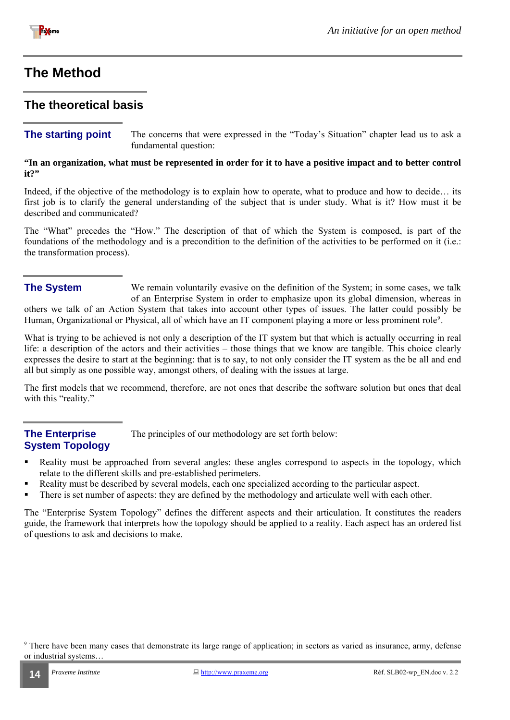<span id="page-13-0"></span>

## <span id="page-13-2"></span>**The Method**

#### **The theoretical basis**

#### **The starting point** The concerns that were expressed in the "Today's Situation" chapter lead us to ask a fundamental question:

**"In an organization, what must be represented in order for it to have a positive impact and to better control it?"** 

Indeed, if the objective of the methodology is to explain how to operate, what to produce and how to decide... its first job is to clarify the general understanding of the subject that is under study. What is it? How must it be described and communicated?

The "What" precedes the "How." The description of that of which the System is composed, is part of the foundations of the methodology and is a precondition to the definition of the activities to be performed on it (i.e.: the transformation process).

#### **The System**

We remain voluntarily evasive on the definition of the System; in some cases, we talk of an Enterprise System in order to emphasize upon its global dimension, whereas in others we talk of an Action System that takes into account other types of issues. The latter could possibly be Human, Organizational or Physical, all of which have an IT component playing a more or less prominent role<sup>[9](#page-13-1)</sup>.

What is trying to be achieved is not only a description of the IT system but that which is actually occurring in real life: a description of the actors and their activities – those things that we know are tangible. This choice clearly expresses the desire to start at the beginning: that is to say, to not only consider the IT system as the be all and end all but simply as one possible way, amongst others, of dealing with the issues at large.

The first models that we recommend, therefore, are not ones that describe the software solution but ones that deal with this "reality."

#### **The Enterprise System Topology**

The principles of our methodology are set forth below:

- Reality must be approached from several angles: these angles correspond to aspects in the topology, which relate to the different skills and pre-established perimeters.
- Reality must be described by several models, each one specialized according to the particular aspect.
- There is set number of aspects: they are defined by the methodology and articulate well with each other.

The "Enterprise System Topology" defines the different aspects and their articulation. It constitutes the readers guide, the framework that interprets how the topology should be applied to a reality. Each aspect has an ordered list of questions to ask and decisions to make.

<span id="page-13-1"></span><sup>&</sup>lt;sup>9</sup> There have been many cases that demonstrate its large range of application; in sectors as varied as insurance, army, defense or industrial systems…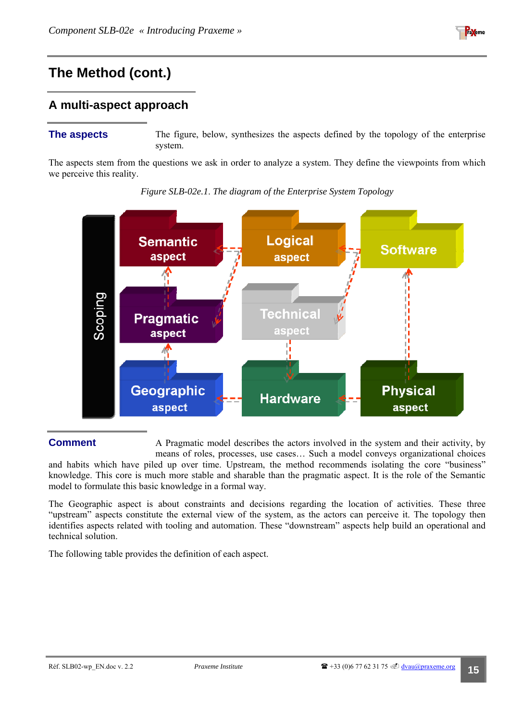

### <span id="page-14-0"></span>**A multi-aspect approach**

**The aspects** The figure, below, synthesizes the aspects defined by the topology of the enterprise system.

The aspects stem from the questions we ask in order to analyze a system. They define the viewpoints from which we perceive this reality.





#### **Comment**

A Pragmatic model describes the actors involved in the system and their activity, by means of roles, processes, use cases… Such a model conveys organizational choices

and habits which have piled up over time. Upstream, the method recommends isolating the core "business" knowledge. This core is much more stable and sharable than the pragmatic aspect. It is the role of the Semantic model to formulate this basic knowledge in a formal way.

The Geographic aspect is about constraints and decisions regarding the location of activities. These three "upstream" aspects constitute the external view of the system, as the actors can perceive it. The topology then identifies aspects related with tooling and automation. These "downstream" aspects help build an operational and technical solution.

The following table provides the definition of each aspect.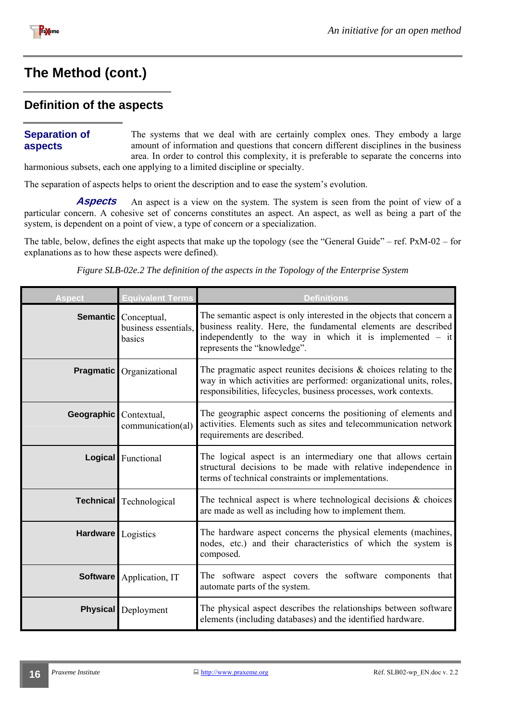<span id="page-15-0"></span>

#### **Definition of the aspects**

#### **Separation of aspects**

The systems that we deal with are certainly complex ones. They embody a large amount of information and questions that concern different disciplines in the business area. In order to control this complexity, it is preferable to separate the concerns into

harmonious subsets, each one applying to a limited discipline or specialty.

The separation of aspects helps to orient the description and to ease the system's evolution.

An aspect is a view on the system. The system is seen from the point of view of a particular concern. A cohesive set of concerns constitutes an aspect. An aspect, as well as being a part of the system, is dependent on a point of view, a type of concern or a specialization. **Aspects** 

The table, below, defines the eight aspects that make up the topology (see the "General Guide" – ref. PxM-02 – for explanations as to how these aspects were defined).

*Figure SLB-02e.2 The definition of the aspects in the Topology of the Enterprise System* 

| <b>Aspect</b>      | <b>Equivalent Terms</b>                                | <b>Definitions</b>                                                                                                                                                                                                                  |  |
|--------------------|--------------------------------------------------------|-------------------------------------------------------------------------------------------------------------------------------------------------------------------------------------------------------------------------------------|--|
|                    | Semantic Conceptual,<br>business essentials,<br>basics | The semantic aspect is only interested in the objects that concern a<br>business reality. Here, the fundamental elements are described<br>independently to the way in which it is implemented $-$ it<br>represents the "knowledge". |  |
| <b>Pragmatic</b>   | Organizational                                         | The pragmatic aspect reunites decisions $\&$ choices relating to the<br>way in which activities are performed: organizational units, roles,<br>responsibilities, lifecycles, business processes, work contexts.                     |  |
| <b>Geographic</b>  | Contextual,<br>communication(al)                       | The geographic aspect concerns the positioning of elements and<br>activities. Elements such as sites and telecommunication network<br>requirements are described.                                                                   |  |
|                    | Logical Functional                                     | The logical aspect is an intermediary one that allows certain<br>structural decisions to be made with relative independence in<br>terms of technical constraints or implementations.                                                |  |
|                    | <b>Technical</b> Technological                         | The technical aspect is where technological decisions $\&$ choices<br>are made as well as including how to implement them.                                                                                                          |  |
| Hardware Logistics |                                                        | The hardware aspect concerns the physical elements (machines,<br>nodes, etc.) and their characteristics of which the system is<br>composed.                                                                                         |  |
|                    | <b>Software</b> Application, IT                        | The software aspect covers the software components that<br>automate parts of the system.                                                                                                                                            |  |
|                    | <b>Physical</b> Deployment                             | The physical aspect describes the relationships between software<br>elements (including databases) and the identified hardware.                                                                                                     |  |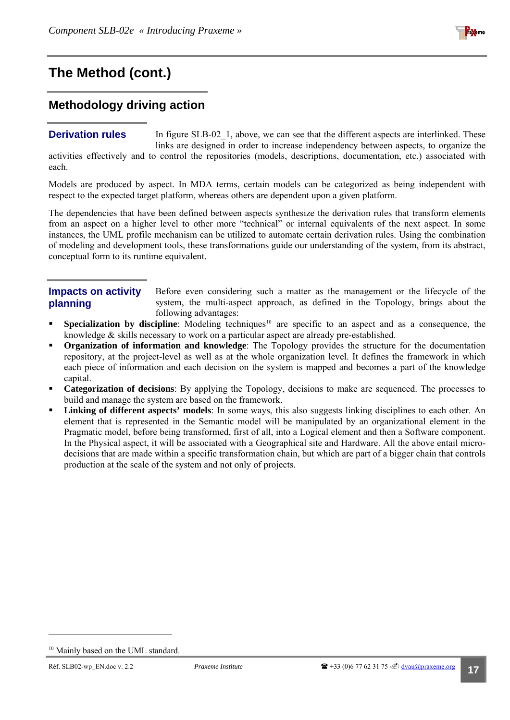

## <span id="page-16-0"></span>**Methodology driving action**

#### **Derivation rules**

each.

In figure SLB-02\_1, above, we can see that the different aspects are interlinked. These links are designed in order to increase independency between aspects, to organize the activities effectively and to control the repositories (models, descriptions, documentation, etc.) associated with

Models are produced by aspect. In MDA terms, certain models can be categorized as being independent with respect to the expected target platform, whereas others are dependent upon a given platform.

The dependencies that have been defined between aspects synthesize the derivation rules that transform elements from an aspect on a higher level to other more "technical" or internal equivalents of the next aspect. In some instances, the UML profile mechanism can be utilized to automate certain derivation rules. Using the combination of modeling and development tools, these transformations guide our understanding of the system, from its abstract, conceptual form to its runtime equivalent.

#### **Impacts on activity planning**

Before even considering such a matter as the management or the lifecycle of the system, the multi-aspect approach, as defined in the Topology, brings about the following advantages:

- **Specialization by discipline**: Modeling techniques<sup>[10](#page-16-1)</sup> are specific to an aspect and as a consequence, the knowledge & skills necessary to work on a particular aspect are already pre-established.
- **Organization of information and knowledge**: The Topology provides the structure for the documentation repository, at the project-level as well as at the whole organization level. It defines the framework in which each piece of information and each decision on the system is mapped and becomes a part of the knowledge capital.
- **Categorization of decisions**: By applying the Topology, decisions to make are sequenced. The processes to build and manage the system are based on the framework.
- **Linking of different aspects' models**: In some ways, this also suggests linking disciplines to each other. An element that is represented in the Semantic model will be manipulated by an organizational element in the Pragmatic model, before being transformed, first of all, into a Logical element and then a Software component. In the Physical aspect, it will be associated with a Geographical site and Hardware. All the above entail microdecisions that are made within a specific transformation chain, but which are part of a bigger chain that controls production at the scale of the system and not only of projects.

<span id="page-16-1"></span><sup>&</sup>lt;sup>10</sup> Mainly based on the UML standard.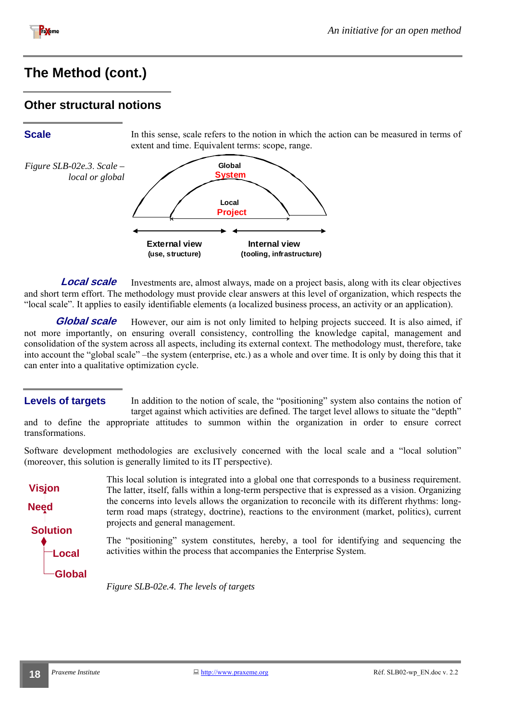<span id="page-17-0"></span>

#### **Other structural notions**

**Scale** In this sense, scale refers to the notion in which the action can be measured in terms of extent and time. Equivalent terms: scope, range.



Investments are, almost always, made on a project basis, along with its clear objectives and short term effort. The methodology must provide clear answers at this level of organization, which respects the "local scale". It applies to easily identifiable elements (a localized business process, an activity or an application). **Local scale** 

However, our aim is not only limited to helping projects succeed. It is also aimed, if not more importantly, on ensuring overall consistency, controlling the knowledge capital, management and consolidation of the system across all aspects, including its external context. The methodology must, therefore, take into account the "global scale" –the system (enterprise, etc.) as a whole and over time. It is only by doing this that it can enter into a qualitative optimization cycle. **Global scale** 

#### **Levels of targets**

In addition to the notion of scale, the "positioning" system also contains the notion of target against which activities are defined. The target level allows to situate the "depth"

and to define the appropriate attitudes to summon within the organization in order to ensure correct transformations.

Software development methodologies are exclusively concerned with the local scale and a "local solution" (moreover, this solution is generally limited to its IT perspective).



This local solution is integrated into a global one that corresponds to a business requirement. The latter, itself, falls within a long-term perspective that is expressed as a vision. Organizing the concerns into levels allows the organization to reconcile with its different rhythms: longterm road maps (strategy, doctrine), reactions to the environment (market, politics), current projects and general management.

The "positioning" system constitutes, hereby, a tool for identifying and sequencing the activities within the process that accompanies the Enterprise System.

*Figure SLB-02e.4. The levels of targets*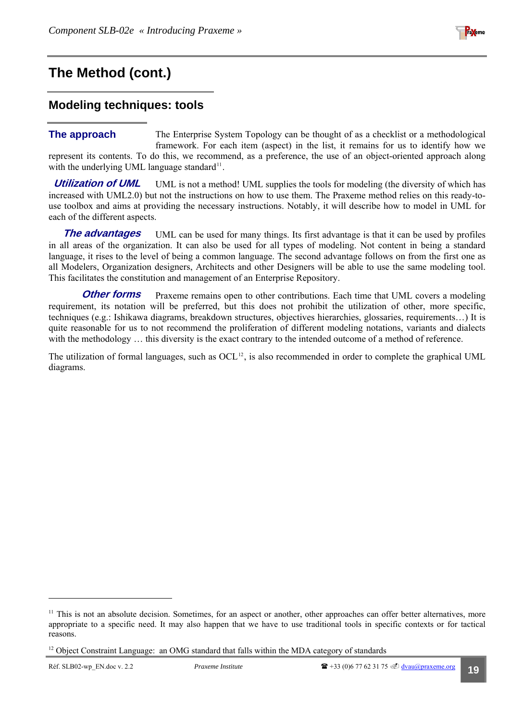

### <span id="page-18-0"></span>**Modeling techniques: tools**

#### The Enterprise System Topology can be thought of as a checklist or a methodological framework. For each item (aspect) in the list, it remains for us to identify how we represent its contents. To do this, we recommend, as a preference, the use of an object-oriented approach along with the underlying UML language standard<sup>[11](#page-18-1)</sup>. **The approach**

UML is not a method! UML supplies the tools for modeling (the diversity of which has increased with UML2.0) but not the instructions on how to use them. The Praxeme method relies on this ready-touse toolbox and aims at providing the necessary instructions. Notably, it will describe how to model in UML for each of the different aspects. **Utilization of UML** 

UML can be used for many things. Its first advantage is that it can be used by profiles in all areas of the organization. It can also be used for all types of modeling. Not content in being a standard language, it rises to the level of being a common language. The second advantage follows on from the first one as all Modelers, Organization designers, Architects and other Designers will be able to use the same modeling tool. This facilitates the constitution and management of an Enterprise Repository. **The advantages** 

Praxeme remains open to other contributions. Each time that UML covers a modeling requirement, its notation will be preferred, but this does not prohibit the utilization of other, more specific, techniques (e.g.: Ishikawa diagrams, breakdown structures, objectives hierarchies, glossaries, requirements…) It is quite reasonable for us to not recommend the proliferation of different modeling notations, variants and dialects with the methodology ... this diversity is the exact contrary to the intended outcome of a method of reference. **Other forms** 

The utilization of formal languages, such as  $OCL<sup>12</sup>$  $OCL<sup>12</sup>$  $OCL<sup>12</sup>$ , is also recommended in order to complete the graphical UML diagrams.

<span id="page-18-1"></span><sup>&</sup>lt;sup>11</sup> This is not an absolute decision. Sometimes, for an aspect or another, other approaches can offer better alternatives, more appropriate to a specific need. It may also happen that we have to use traditional tools in specific contexts or for tactical reasons.

<span id="page-18-2"></span><sup>&</sup>lt;sup>12</sup> Object Constraint Language: an OMG standard that falls within the MDA category of standards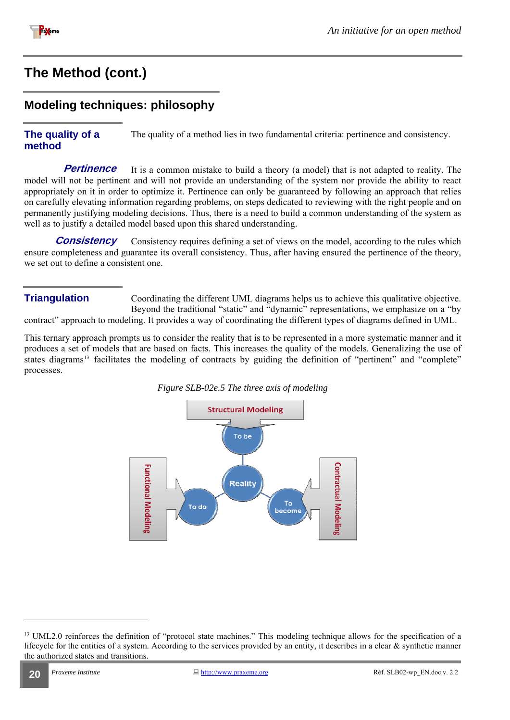<span id="page-19-0"></span>

## **Modeling techniques: philosophy**

#### **The quality of a method**  The quality of a method lies in two fundamental criteria: pertinence and consistency.

It is a common mistake to build a theory (a model) that is not adapted to reality. The model will not be pertinent and will not provide an understanding of the system nor provide the ability to react appropriately on it in order to optimize it. Pertinence can only be guaranteed by following an approach that relies on carefully elevating information regarding problems, on steps dedicated to reviewing with the right people and on permanently justifying modeling decisions. Thus, there is a need to build a common understanding of the system as well as to justify a detailed model based upon this shared understanding. **Pertinence** 

Consistency requires defining a set of views on the model, according to the rules which ensure completeness and guarantee its overall consistency. Thus, after having ensured the pertinence of the theory, we set out to define a consistent one. **Consistency** 

Coordinating the different UML diagrams helps us to achieve this qualitative objective. Beyond the traditional "static" and "dynamic" representations, we emphasize on a "by" contract" approach to modeling. It provides a way of coordinating the different types of diagrams defined in UML. **Triangulation** 

This ternary approach prompts us to consider the reality that is to be represented in a more systematic manner and it produces a set of models that are based on facts. This increases the quality of the models. Generalizing the use of states diagrams<sup>[13](#page-19-1)</sup> facilitates the modeling of contracts by guiding the definition of "pertinent" and "complete" processes.





<span id="page-19-1"></span><sup>&</sup>lt;sup>13</sup> UML2.0 reinforces the definition of "protocol state machines." This modeling technique allows for the specification of a lifecycle for the entities of a system. According to the services provided by an entity, it describes in a clear  $\&$  synthetic manner the authorized states and transitions.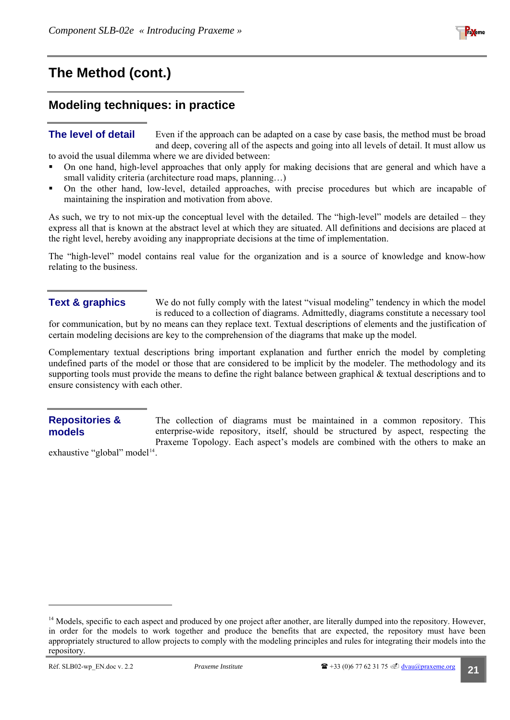

## <span id="page-20-0"></span>**Modeling techniques: in practice**

#### **The level of detail**

Even if the approach can be adapted on a case by case basis, the method must be broad and deep, covering all of the aspects and going into all levels of detail. It must allow us to avoid the usual dilemma where we are divided between:

- On one hand, high-level approaches that only apply for making decisions that are general and which have a small validity criteria (architecture road maps, planning...)
- On the other hand, low-level, detailed approaches, with precise procedures but which are incapable of maintaining the inspiration and motivation from above.

As such, we try to not mix-up the conceptual level with the detailed. The "high-level" models are detailed – they express all that is known at the abstract level at which they are situated. All definitions and decisions are placed at the right level, hereby avoiding any inappropriate decisions at the time of implementation.

The "high-level" model contains real value for the organization and is a source of knowledge and know-how relating to the business.

#### **Text & graphics**

We do not fully comply with the latest "visual modeling" tendency in which the model is reduced to a collection of diagrams. Admittedly, diagrams constitute a necessary tool for communication, but by no means can they replace text. Textual descriptions of elements and the justification of certain modeling decisions are key to the comprehension of the diagrams that make up the model.

Complementary textual descriptions bring important explanation and further enrich the model by completing undefined parts of the model or those that are considered to be implicit by the modeler. The methodology and its supporting tools must provide the means to define the right balance between graphical & textual descriptions and to ensure consistency with each other.

#### **Repositories & models**

The collection of diagrams must be maintained in a common repository. This enterprise-wide repository, itself, should be structured by aspect, respecting the Praxeme Topology. Each aspect's models are combined with the others to make an

exhaustive "global" model<sup>[14](#page-20-1)</sup>.

<span id="page-20-1"></span><sup>&</sup>lt;sup>14</sup> Models, specific to each aspect and produced by one project after another, are literally dumped into the repository. However, in order for the models to work together and produce the benefits that are expected, the repository must have been appropriately structured to allow projects to comply with the modeling principles and rules for integrating their models into the repository.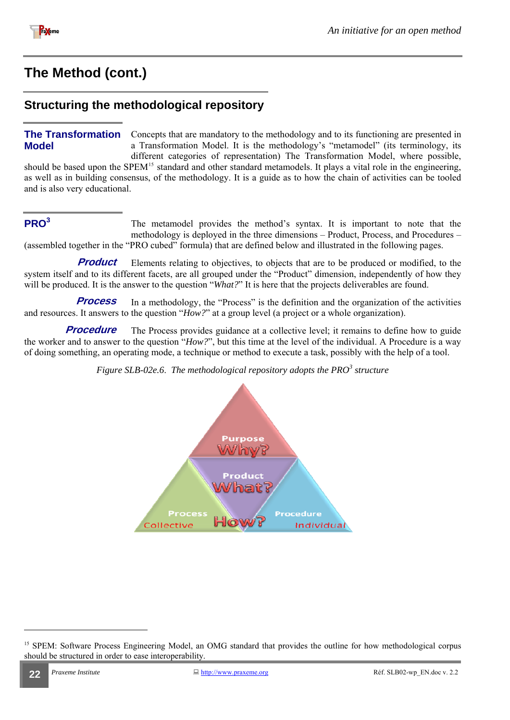<span id="page-21-0"></span>

### **Structuring the methodological repository**

#### **The Transformation Model**

Concepts that are mandatory to the methodology and to its functioning are presented in a Transformation Model. It is the methodology's "metamodel" (its terminology, its different categories of representation) The Transformation Model, where possible,

should be based upon the SPEM<sup>[15](#page-21-1)</sup> standard and other standard metamodels. It plays a vital role in the engineering, as well as in building consensus, of the methodology. It is a guide as to how the chain of activities can be tooled and is also very educational.

#### **PRO<sup>3</sup>**

The metamodel provides the method's syntax. It is important to note that the methodology is deployed in the three dimensions – Product, Process, and Procedures – (assembled together in the "PRO cubed" formula) that are defined below and illustrated in the following pages.

Elements relating to objectives, to objects that are to be produced or modified, to the system itself and to its different facets, are all grouped under the "Product" dimension, independently of how they will be produced. It is the answer to the question "*What?*" It is here that the projects deliverables are found. **Product** 

In a methodology, the "Process" is the definition and the organization of the activities and resources. It answers to the question "*How?*" at a group level (a project or a whole organization). **Process** 

The Process provides guidance at a collective level; it remains to define how to guide the worker and to answer to the question "*How?*", but this time at the level of the individual. A Procedure is a way of doing something, an operating mode, a technique or method to execute a task, possibly with the help of a tool. **Procedure** 

*Figure SLB-02e.6*. *The methodological repository adopts the PRO<sup>3</sup> structure* 



<span id="page-21-1"></span><sup>&</sup>lt;sup>15</sup> SPEM: Software Process Engineering Model, an OMG standard that provides the outline for how methodological corpus should be structured in order to ease interoperability.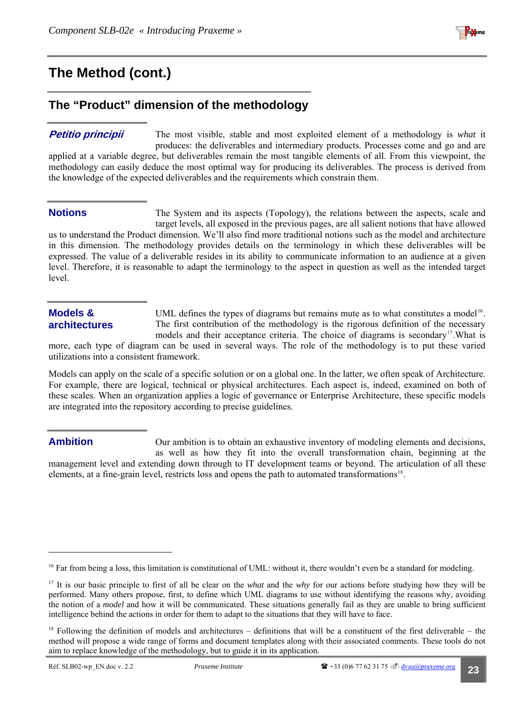

## <span id="page-22-0"></span>**The "Product" dimension of the methodology**

#### **Petitio principii**

The most visible, stable and most exploited element of a methodology is *what* it produces: the deliverables and intermediary products. Processes come and go and are applied at a variable degree, but deliverables remain the most tangible elements of all. From this viewpoint, the methodology can easily deduce the most optimal way for producing its deliverables. The process is derived from the knowledge of the expected deliverables and the requirements which constrain them.

#### **Notions**

The System and its aspects (Topology), the relations between the aspects, scale and target levels, all exposed in the previous pages, are all salient notions that have allowed us to understand the Product dimension. We'll also find more traditional notions such as the model and architecture in this dimension. The methodology provides details on the terminology in which these deliverables will be

expressed. The value of a deliverable resides in its ability to communicate information to an audience at a given level. Therefore, it is reasonable to adapt the terminology to the aspect in question as well as the intended target level.

#### **Models & architectures**

UML defines the types of diagrams but remains mute as to what constitutes a model<sup>[16](#page-22-1)</sup>. The first contribution of the methodology is the rigorous definition of the necessary models and their acceptance criteria. The choice of diagrams is secondary<sup>[17](#page-22-2)</sup>. What is

more, each type of diagram can be used in several ways. The role of the methodology is to put these varied utilizations into a consistent framework.

Models can apply on the scale of a specific solution or on a global one. In the latter, we often speak of Architecture. For example, there are logical, technical or physical architectures. Each aspect is, indeed, examined on both of these scales. When an organization applies a logic of governance or Enterprise Architecture, these specific models are integrated into the repository according to precise guidelines.

#### **Ambition**

l

Our ambition is to obtain an exhaustive inventory of modeling elements and decisions, as well as how they fit into the overall transformation chain, beginning at the management level and extending down through to IT development teams or beyond. The articulation of all these elements, at a fine-grain level, restricts loss and opens the path to automated transformation[s18](#page-22-3).

<span id="page-22-1"></span><sup>&</sup>lt;sup>16</sup> Far from being a loss, this limitation is constitutional of UML: without it, there wouldn't even be a standard for modeling.

<span id="page-22-2"></span><sup>&</sup>lt;sup>17</sup> It is our basic principle to first of all be clear on the *what* and the *why* for our actions before studying how they will be performed. Many others propose, first, to define which UML diagrams to use without identifying the reasons why, avoiding the notion of a *model* and how it will be communicated. These situations generally fail as they are unable to bring sufficient intelligence behind the actions in order for them to adapt to the situations that they will have to face.

<span id="page-22-3"></span> $18$  Following the definition of models and architectures – definitions that will be a constituent of the first deliverable – the method will propose a wide range of forms and document templates along with their associated comments. These tools do not aim to replace knowledge of the methodology, but to guide it in its application.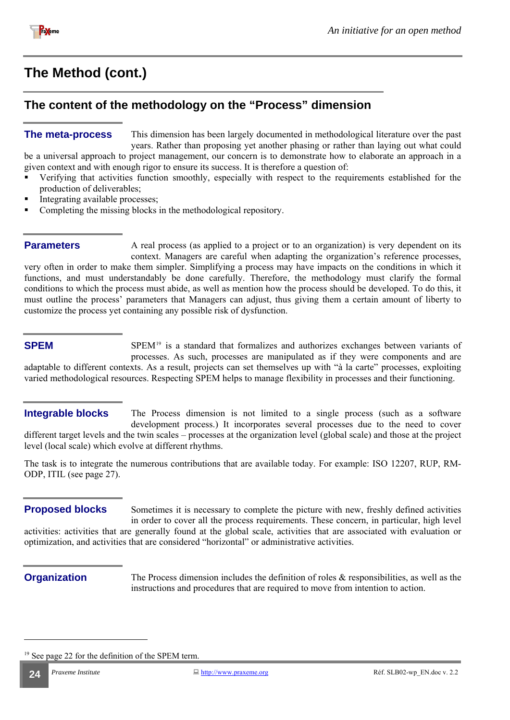<span id="page-23-0"></span>

## **The content of the methodology on the "Process" dimension**

This dimension has been largely documented in methodological literature over the past years. Rather than proposing yet another phasing or rather than laying out what could be a universal approach to project management, our concern is to demonstrate how to elaborate an approach in a given context and with enough rigor to ensure its success. It is therefore a question of: **The meta-process** 

- Verifying that activities function smoothly, especially with respect to the requirements established for the production of deliverables;
- Integrating available processes;
- Completing the missing blocks in the methodological repository.

#### **Parameters**

A real process (as applied to a project or to an organization) is very dependent on its context. Managers are careful when adapting the organization's reference processes, very often in order to make them simpler. Simplifying a process may have impacts on the conditions in which it functions, and must understandably be done carefully. Therefore, the methodology must clarify the formal conditions to which the process must abide, as well as mention how the process should be developed. To do this, it must outline the process' parameters that Managers can adjust, thus giving them a certain amount of liberty to customize the process yet containing any possible risk of dysfunction.

#### **SPEM**

SPEM<sup>[19](#page-23-1)</sup> is a standard that formalizes and authorizes exchanges between variants of processes. As such, processes are manipulated as if they were components and are adaptable to different contexts. As a result, projects can set themselves up with "à la carte" processes, exploiting varied methodological resources. Respecting SPEM helps to manage flexibility in processes and their functioning.

#### **Integrable blocks**

The Process dimension is not limited to a single process (such as a software development process.) It incorporates several processes due to the need to cover different target levels and the twin scales – processes at the organization level (global scale) and those at the project level (local scale) which evolve at different rhythms.

The task is to integrate the numerous contributions that are available today. For example: ISO 12207, RUP, RM-ODP, ITIL (see page [27](#page-26-1)).

Sometimes it is necessary to complete the picture with new, freshly defined activities in order to cover all the process requirements. These concern, in particular, high level activities: activities that are generally found at the global scale, activities that are associated with evaluation or optimization, and activities that are considered "horizontal" or administrative activities. **Proposed blocks** 

l

**Organization** The Process dimension includes the definition of roles & responsibilities, as well as the instructions and procedures that are required to move from intention to action.

<span id="page-23-1"></span> $19$  See page 22 for the definition of the SPEM term.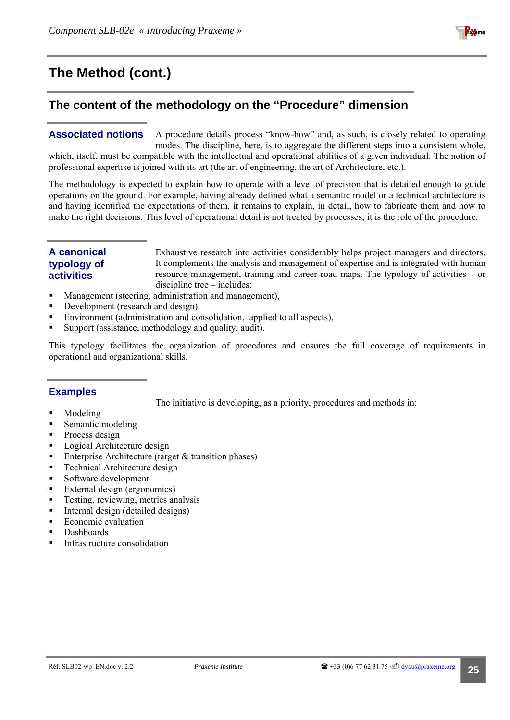

## <span id="page-24-0"></span>**The content of the methodology on the "Procedure" dimension**

#### A procedure details process "know-how" and, as such, is closely related to operating modes. The discipline, here, is to aggregate the different steps into a consistent whole, which, itself, must be compatible with the intellectual and operational abilities of a given individual. The notion of professional expertise is joined with its art (the art of engineering, the art of Architecture, etc.). **Associated notions**

The methodology is expected to explain how to operate with a level of precision that is detailed enough to guide operations on the ground. For example, having already defined what a semantic model or a technical architecture is and having identified the expectations of them, it remains to explain, in detail, how to fabricate them and how to make the right decisions. This level of operational detail is not treated by processes; it is the role of the procedure.

#### **A canonical typology of activities**

Exhaustive research into activities considerably helps project managers and directors. It complements the analysis and management of expertise and is integrated with human resource management, training and career road maps. The typology of activities – or discipline tree – includes:

- **Management (steering, administration and management),**
- Development (research and design),
- Environment (administration and consolidation, applied to all aspects),
- Support (assistance, methodology and quality, audit).

This typology facilitates the organization of procedures and ensures the full coverage of requirements in operational and organizational skills.

#### **Examples**

The initiative is developing, as a priority, procedures and methods in:

- Modeling
- Semantic modeling
- Process design
- **Logical Architecture design**
- **Enterprise Architecture (target & transition phases)**
- Technical Architecture design
- Software development
- External design (ergonomics)
- **Testing, reviewing, metrics analysis**
- Internal design (detailed designs)
- **Example 2** Economic evaluation
- Dashboards
- Infrastructure consolidation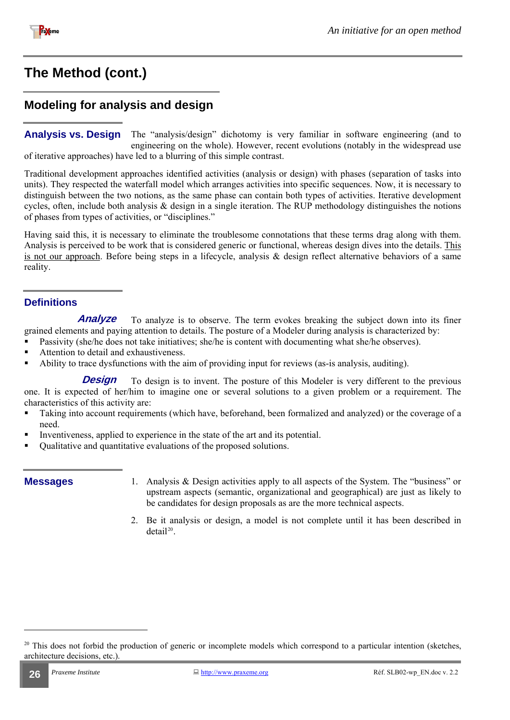<span id="page-25-0"></span>

## **Modeling for analysis and design**

The "analysis/design" dichotomy is very familiar in software engineering (and to engineering on the whole). However, recent evolutions (notably in the widespread use of iterative approaches) have led to a blurring of this simple contrast. **Analysis vs. Design** 

Traditional development approaches identified activities (analysis or design) with phases (separation of tasks into units). They respected the waterfall model which arranges activities into specific sequences. Now, it is necessary to distinguish between the two notions, as the same phase can contain both types of activities. Iterative development cycles, often, include both analysis  $\&$  design in a single iteration. The RUP methodology distinguishes the notions of phases from types of activities, or "disciplines."

Having said this, it is necessary to eliminate the troublesome connotations that these terms drag along with them. Analysis is perceived to be work that is considered generic or functional, whereas design dives into the details. This is not our approach. Before being steps in a lifecycle, analysis  $\&$  design reflect alternative behaviors of a same reality.

#### **Definitions**

To analyze is to observe. The term evokes breaking the subject down into its finer grained elements and paying attention to details. The posture of a Modeler during analysis is characterized by: **Analyze** 

- **Passivity (she/he does not take initiatives; she/he is content with documenting what she/he observes).**
- Attention to detail and exhaustiveness.
- Ability to trace dysfunctions with the aim of providing input for reviews (as-is analysis, auditing).

To design is to invent. The posture of this Modeler is very different to the previous one. It is expected of her/him to imagine one or several solutions to a given problem or a requirement. The characteristics of this activity are: **Design** 

- Taking into account requirements (which have, beforehand, been formalized and analyzed) or the coverage of a need.
- Inventiveness, applied to experience in the state of the art and its potential.
- Qualitative and quantitative evaluations of the proposed solutions.

- **Messages** 1. Analysis & Design activities apply to all aspects of the System. The "business" or upstream aspects (semantic, organizational and geographical) are just as likely to be candidates for design proposals as are the more technical aspects.
	- 2. Be it analysis or design, a model is not complete until it has been described in  $detai^{20}$  $detai^{20}$  $detai^{20}$

<span id="page-25-1"></span> $20$  This does not forbid the production of generic or incomplete models which correspond to a particular intention (sketches, architecture decisions, etc.).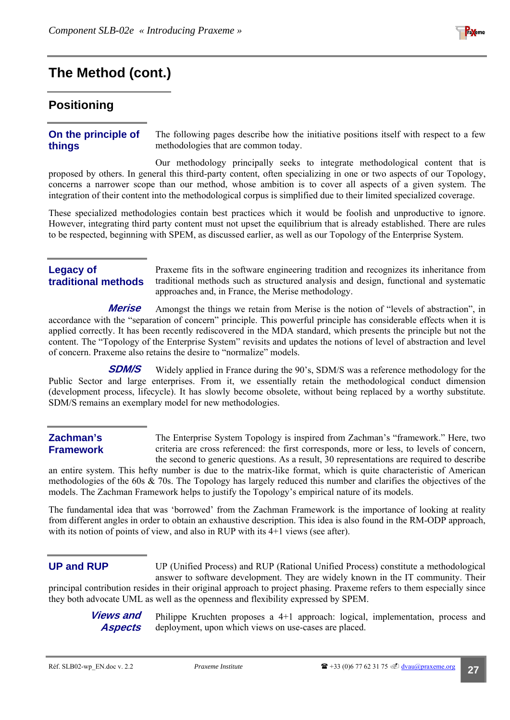

#### <span id="page-26-1"></span><span id="page-26-0"></span>**Positioning**

#### **On the principle of things**

The following pages describe how the initiative positions itself with respect to a few methodologies that are common today.

Our methodology principally seeks to integrate methodological content that is proposed by others. In general this third-party content, often specializing in one or two aspects of our Topology, concerns a narrower scope than our method, whose ambition is to cover all aspects of a given system. The integration of their content into the methodological corpus is simplified due to their limited specialized coverage.

These specialized methodologies contain best practices which it would be foolish and unproductive to ignore. However, integrating third party content must not upset the equilibrium that is already established. There are rules to be respected, beginning with SPEM, as discussed earlier, as well as our Topology of the Enterprise System.

#### **Legacy of traditional methods**

Praxeme fits in the software engineering tradition and recognizes its inheritance from traditional methods such as structured analysis and design, functional and systematic approaches and, in France, the Merise methodology.

Amongst the things we retain from Merise is the notion of "levels of abstraction", in accordance with the "separation of concern" principle. This powerful principle has considerable effects when it is applied correctly. It has been recently rediscovered in the MDA standard, which presents the principle but not the content. The "Topology of the Enterprise System" revisits and updates the notions of level of abstraction and level of concern. Praxeme also retains the desire to "normalize" models. **Merise** 

Widely applied in France during the 90's, SDM/S was a reference methodology for the Public Sector and large enterprises. From it, we essentially retain the methodological conduct dimension (development process, lifecycle). It has slowly become obsolete, without being replaced by a worthy substitute. SDM/S remains an exemplary model for new methodologies. **SDM/S** 

#### **Zachman's Framework**

The Enterprise System Topology is inspired from Zachman's "framework." Here, two criteria are cross referenced: the first corresponds, more or less, to levels of concern, the second to generic questions. As a result, 30 representations are required to describe

an entire system. This hefty number is due to the matrix-like format, which is quite characteristic of American methodologies of the 60s & 70s. The Topology has largely reduced this number and clarifies the objectives of the models. The Zachman Framework helps to justify the Topology's empirical nature of its models.

The fundamental idea that was 'borrowed' from the Zachman Framework is the importance of looking at reality from different angles in order to obtain an exhaustive description. This idea is also found in the RM-ODP approach, with its notion of points of view, and also in RUP with its 4+1 views (see after).

#### **UP and RUP**

UP (Unified Process) and RUP (Rational Unified Process) constitute a methodological answer to software development. They are widely known in the IT community. Their principal contribution resides in their original approach to project phasing. Praxeme refers to them especially since they both advocate UML as well as the openness and flexibility expressed by SPEM.

**Views and Aspects** 

Philippe Kruchten proposes a 4+1 approach: logical, implementation, process and deployment, upon which views on use-cases are placed.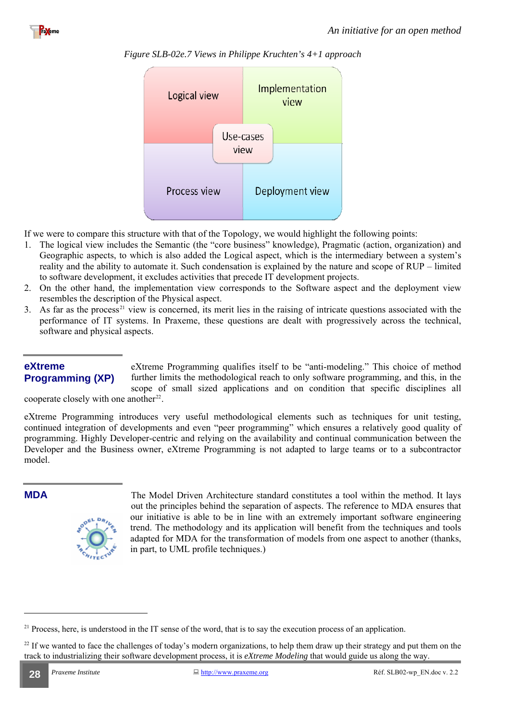





If we were to compare this structure with that of the Topology, we would highlight the following points:

- 1. The logical view includes the Semantic (the "core business" knowledge), Pragmatic (action, organization) and Geographic aspects, to which is also added the Logical aspect, which is the intermediary between a system's reality and the ability to automate it. Such condensation is explained by the nature and scope of RUP – limited to software development, it excludes activities that precede IT development projects.
- 2. On the other hand, the implementation view corresponds to the Software aspect and the deployment view resembles the description of the Physical aspect.
- 3. As far as the process<sup>[21](#page-27-0)</sup> view is concerned, its merit lies in the raising of intricate questions associated with the performance of IT systems. In Praxeme, these questions are dealt with progressively across the technical, software and physical aspects.

#### **eXtreme Programming (XP)**

eXtreme Programming qualifies itself to be "anti-modeling." This choice of method further limits the methodological reach to only software programming, and this, in the scope of small sized applications and on condition that specific disciplines all

cooperate closely with one another $22$ .

eXtreme Programming introduces very useful methodological elements such as techniques for unit testing, continued integration of developments and even "peer programming" which ensures a relatively good quality of programming. Highly Developer-centric and relying on the availability and continual communication between the Developer and the Business owner, eXtreme Programming is not adapted to large teams or to a subcontractor model.

l



**MDA** The Model Driven Architecture standard constitutes a tool within the method. It lays out the principles behind the separation of aspects. The reference to MDA ensures that our initiative is able to be in line with an extremely important software engineering trend. The methodology and its application will benefit from the techniques and tools adapted for MDA for the transformation of models from one aspect to another (thanks, in part, to UML profile techniques.)

<span id="page-27-0"></span> $21$  Process, here, is understood in the IT sense of the word, that is to say the execution process of an application.

<span id="page-27-1"></span><sup>&</sup>lt;sup>22</sup> If we wanted to face the challenges of today's modern organizations, to help them draw up their strategy and put them on the track to industrializing their software development process, it is *eXtreme Modeling* that would guide us along the way.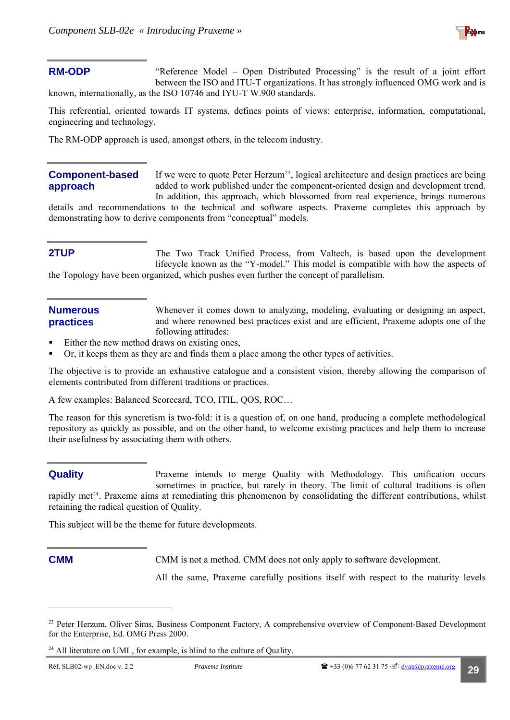

#### **RM-ODP**

"Reference Model – Open Distributed Processing" is the result of a joint effort between the ISO and ITU-T organizations. It has strongly influenced OMG work and is known, internationally, as the ISO 10746 and IYU-T W.900 standards.

This referential, oriented towards IT systems, defines points of views: enterprise, information, computational, engineering and technology.

The RM-ODP approach is used, amongst others, in the telecom industry.

#### **Component-based approach**

If we were to quote Peter Herzum<sup>[23](#page-28-0)</sup>, logical architecture and design practices are being added to work published under the component-oriented design and development trend. In addition, this approach, which blossomed from real experience, brings numerous

details and recommendations to the technical and software aspects. Praxeme completes this approach by demonstrating how to derive components from "conceptual" models.

#### **2TUP**

The Two Track Unified Process, from Valtech, is based upon the development lifecycle known as the "Y-model." This model is compatible with how the aspects of the Topology have been organized, which pushes even further the concept of parallelism.

#### **Numerous practices**

Whenever it comes down to analyzing, modeling, evaluating or designing an aspect, and where renowned best practices exist and are efficient, Praxeme adopts one of the following attitudes:

- Either the new method draws on existing ones,
- Or, it keeps them as they are and finds them a place among the other types of activities.

The objective is to provide an exhaustive catalogue and a consistent vision, thereby allowing the comparison of elements contributed from different traditions or practices.

A few examples: Balanced Scorecard, TCO, ITIL, QOS, ROC…

The reason for this syncretism is two-fold: it is a question of, on one hand, producing a complete methodological repository as quickly as possible, and on the other hand, to welcome existing practices and help them to increase their usefulness by associating them with others.

Praxeme intends to merge Quality with Methodology. This unification occurs sometimes in practice, but rarely in theory. The limit of cultural traditions is often rapidly met<sup>[24](#page-28-1)</sup>. Praxeme aims at remediating this phenomenon by consolidating the different contributions, whilst retaining the radical question of Quality. **Quality** 

This subject will be the theme for future developments.

l

**CMM CMM** is not a method. CMM does not only apply to software development.

All the same, Praxeme carefully positions itself with respect to the maturity levels

<span id="page-28-0"></span><sup>&</sup>lt;sup>23</sup> Peter Herzum, Oliver Sims, Business Component Factory, A comprehensive overview of Component-Based Development for the Enterprise, Ed. OMG Press 2000.

<span id="page-28-1"></span> $24$  All literature on UML, for example, is blind to the culture of Quality.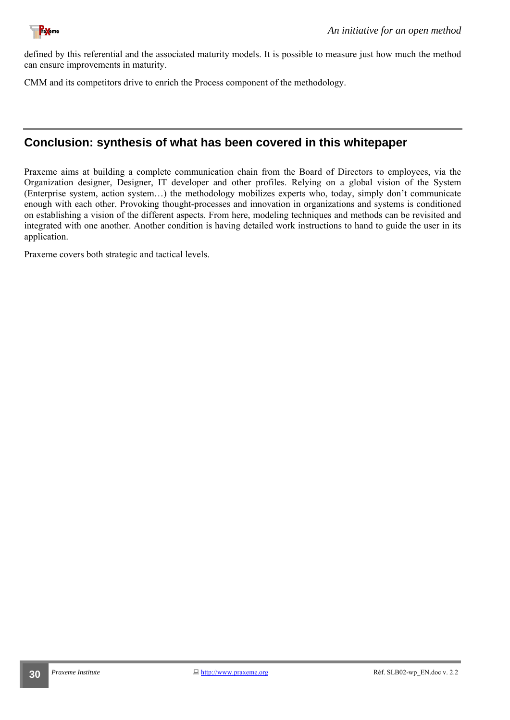<span id="page-29-0"></span>

defined by this referential and the associated maturity models. It is possible to measure just how much the method can ensure improvements in maturity.

CMM and its competitors drive to enrich the Process component of the methodology.

### **Conclusion: synthesis of what has been covered in this whitepaper**

Praxeme aims at building a complete communication chain from the Board of Directors to employees, via the Organization designer, Designer, IT developer and other profiles. Relying on a global vision of the System (Enterprise system, action system…) the methodology mobilizes experts who, today, simply don't communicate enough with each other. Provoking thought-processes and innovation in organizations and systems is conditioned on establishing a vision of the different aspects. From here, modeling techniques and methods can be revisited and integrated with one another. Another condition is having detailed work instructions to hand to guide the user in its application.

Praxeme covers both strategic and tactical levels.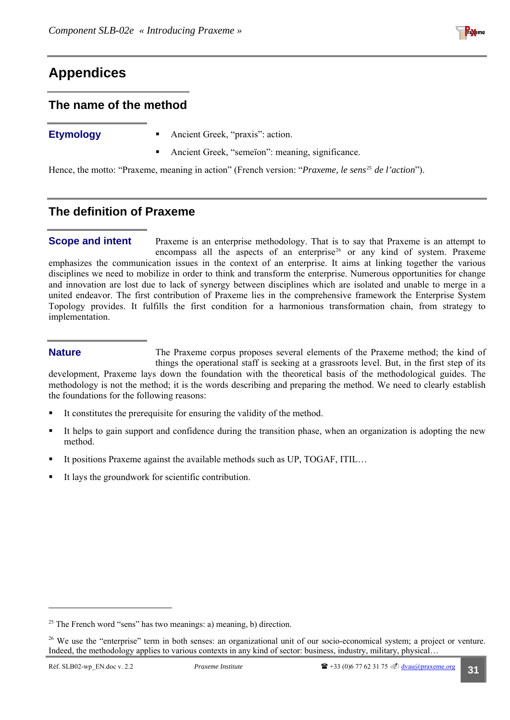## <span id="page-30-3"></span><span id="page-30-0"></span>**Appendices**

#### **The name of the method**

- **Etymology Ancient Greek, "praxis": action.** 
	- Ancient Greek, "semeïon": meaning, significance.

Hence, the motto: "Praxeme, meaning in action" (French version: "*Praxeme, le sens[25](#page-30-1) de l'action*").

### **The definition of Praxeme**

Praxeme is an enterprise methodology. That is to say that Praxeme is an attempt to encompass all the aspects of an enterprise<sup>[26](#page-30-2)</sup> or any kind of system. Praxeme emphasizes the communication issues in the context of an enterprise. It aims at linking together the various disciplines we need to mobilize in order to think and transform the enterprise. Numerous opportunities for change and innovation are lost due to lack of synergy between disciplines which are isolated and unable to merge in a united endeavor. The first contribution of Praxeme lies in the comprehensive framework the Enterprise System Topology provides. It fulfills the first condition for a harmonious transformation chain, fr om strategy to **Scope and intent**  implementation.

#### **Nature**

methodology is not the method; it is the words describing and preparing the method. We need to clearly establish The Praxeme corpus proposes several elements of the Praxeme method; the kind of things the operational staff is seeking at a grassroots level. But, in the first step of its development, Praxeme lays down the foundation with the theoretical basis of the methodological guides. The the foundations for the following reasons:

- It constitutes the prerequisite for ensuring the validity of the method.
- It helps to gain support and confidence during the transition phase, when an organization is adopting the new method.
- It positions Praxeme against the available methods such as UP, TOGAF, ITIL…
- It lays the groundwork for scientific contribution.  $\blacksquare$

<span id="page-30-1"></span><sup>&</sup>lt;sup>25</sup> The French word "sens" has two meanings: a) meaning, b) direction.

<span id="page-30-2"></span><sup>&</sup>lt;sup>26</sup> We use the "enterprise" term in both senses: an organizational unit of our socio-economical system; a project or venture. Indeed, the methodology applies to various contexts in any kind of sector: business, industry, military, physical…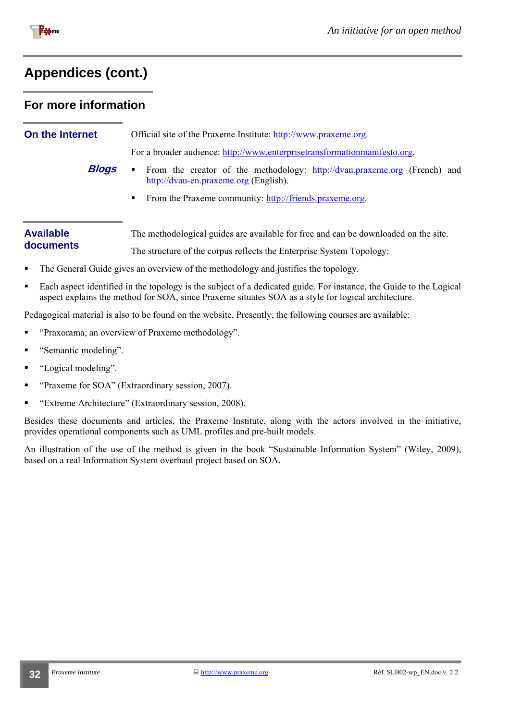<span id="page-31-0"></span>

### <span id="page-31-1"></span>**For more information**

| On the Internet                                         | Official site of the Praxeme Institute: http://www.praxeme.org.<br>For a broader audience: http://www.enterprisetransformationmanifesto.org. |  |  |  |
|---------------------------------------------------------|----------------------------------------------------------------------------------------------------------------------------------------------|--|--|--|
|                                                         |                                                                                                                                              |  |  |  |
| <b>Blogs</b>                                            | From the creator of the methodology: http://dvau.praxeme.org (French) and<br>http://dvau-en.praxeme.org (English).                           |  |  |  |
| From the Praxeme community: http://friends.praxeme.org. |                                                                                                                                              |  |  |  |
|                                                         |                                                                                                                                              |  |  |  |
| <b>Available</b>                                        | The methodological guides are available for free and can be downloaded on the site.                                                          |  |  |  |
| documents                                               | The structure of the corpus reflects the Enterprise System Topology:                                                                         |  |  |  |
| $\blacksquare$                                          | The General Guide gives an overview of the methodology and justifies the topology.                                                           |  |  |  |
|                                                         | Each genect identified in the topology is the subject of a dedicated quide. For instance, the Guide to the Logical                           |  |  |  |

 Each aspect identified in the topology is the subject of a dedicated guide. For instance, the Guide to the Logical aspect explains the method for SOA, since Praxeme situates SOA as a style for logical architecture.

Pedagogical material is also to be found on the website. Presently, the following courses are available:

- "Praxorama, an overview of Praxeme methodology".
- "Semantic modeling".
- "Logical modeling".
- "Praxeme for SOA" (Extraordinary session, 2007).
- "Extreme Architecture" (Extraordinary session, 2008).

Besides these documents and articles, the Praxeme Institute, along with the actors involved in the initiative, provides operational components such as UML profiles and pre-built models.

An illustration of the use of the method is given in the book "Sustainable Information System" (Wiley, 2009), based on a real Information System overhaul project based on SOA.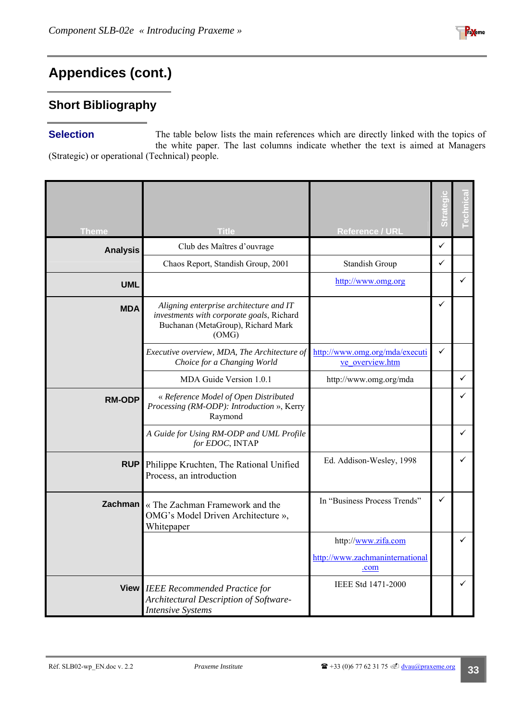## <span id="page-32-0"></span>**Short Bibliography**

The table below lists the main references which are directly linked with the topics of the white paper. The last columns indicate whether the text is aimed at Managers (Strategic) or operational (Technical) people. **Selection** 

| <b>Theme</b>    | <b>Title</b>                                                                                                                        | <b>Reference / URL</b>                            |   |              |
|-----------------|-------------------------------------------------------------------------------------------------------------------------------------|---------------------------------------------------|---|--------------|
| <b>Analysis</b> | Club des Maîtres d'ouvrage                                                                                                          |                                                   | ✓ |              |
|                 | Chaos Report, Standish Group, 2001                                                                                                  | Standish Group                                    |   |              |
| <b>UML</b>      |                                                                                                                                     | http://www.omg.org                                |   | $\checkmark$ |
| <b>MDA</b>      | Aligning enterprise architecture and IT<br>investments with corporate goals, Richard<br>Buchanan (MetaGroup), Richard Mark<br>(OMG) |                                                   | ✓ |              |
|                 | Executive overview, MDA, The Architecture of<br>Choice for a Changing World                                                         | http://www.omg.org/mda/executi<br>ve overview.htm | ✓ |              |
|                 | MDA Guide Version 1.0.1                                                                                                             | http://www.omg.org/mda                            |   | $\checkmark$ |
| <b>RM-ODP</b>   | « Reference Model of Open Distributed<br>Processing (RM-ODP): Introduction », Kerry<br>Raymond                                      |                                                   |   |              |
|                 | A Guide for Using RM-ODP and UML Profile<br>for EDOC, INTAP                                                                         |                                                   |   |              |
| <b>RUP</b>      | Philippe Kruchten, The Rational Unified<br>Process, an introduction                                                                 | Ed. Addison-Wesley, 1998                          |   | ✓            |
| Zachman         | « The Zachman Framework and the<br>OMG's Model Driven Architecture »,<br>Whitepaper                                                 | In "Business Process Trends"                      | ✓ |              |
|                 |                                                                                                                                     | http://www.zifa.com                               |   | ✓            |
|                 |                                                                                                                                     | http://www.zachmaninternational<br>.com           |   |              |
|                 | View IEEE Recommended Practice for<br>Architectural Description of Software-<br><b>Intensive Systems</b>                            | IEEE Std 1471-2000                                |   | ✓            |

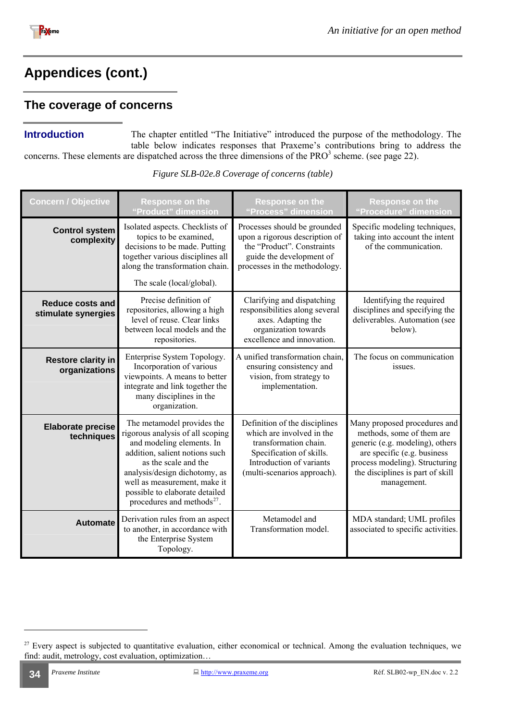<span id="page-33-0"></span>

### **The coverage of concerns**

**Introduction** The chapter entitled "The Initiative" introduced the purpose of the methodology. The table below indicates responses that Praxeme's contributions bring to address the concerns. These elements are dispatched across the three dimensions of the  $PRO^3$  scheme. (see page [22\)](#page-11-1).

| <b>Concern / Objective</b>                 | <b>Response on the</b><br>"Product" dimension                                                                                                                                                                                                                                                      | <b>Response on the</b><br>"Process" dimension                                                                                                                              | <b>Response on the</b><br>"Procedure" dimension                                                                                                                                                                  |  |
|--------------------------------------------|----------------------------------------------------------------------------------------------------------------------------------------------------------------------------------------------------------------------------------------------------------------------------------------------------|----------------------------------------------------------------------------------------------------------------------------------------------------------------------------|------------------------------------------------------------------------------------------------------------------------------------------------------------------------------------------------------------------|--|
| <b>Control system</b><br>complexity        | Isolated aspects. Checklists of<br>topics to be examined,<br>decisions to be made. Putting<br>together various disciplines all<br>along the transformation chain.<br>The scale (local/global).                                                                                                     | Processes should be grounded<br>upon a rigorous description of<br>the "Product". Constraints<br>guide the development of<br>processes in the methodology.                  | Specific modeling techniques,<br>taking into account the intent<br>of the communication.                                                                                                                         |  |
| Reduce costs and<br>stimulate synergies    | Precise definition of<br>repositories, allowing a high<br>level of reuse. Clear links<br>between local models and the<br>repositories.                                                                                                                                                             | Clarifying and dispatching<br>responsibilities along several<br>axes. Adapting the<br>organization towards<br>excellence and innovation.                                   | Identifying the required<br>disciplines and specifying the<br>deliverables. Automation (see<br>below).                                                                                                           |  |
| <b>Restore clarity in</b><br>organizations | Enterprise System Topology.<br>Incorporation of various<br>viewpoints. A means to better<br>integrate and link together the<br>many disciplines in the<br>organization.                                                                                                                            | A unified transformation chain,<br>ensuring consistency and<br>vision, from strategy to<br>implementation.                                                                 | The focus on communication<br>issues.                                                                                                                                                                            |  |
| <b>Elaborate precise</b><br>techniques     | The metamodel provides the<br>rigorous analysis of all scoping<br>and modeling elements. In<br>addition, salient notions such<br>as the scale and the<br>analysis/design dichotomy, as<br>well as measurement, make it<br>possible to elaborate detailed<br>procedures and methods <sup>27</sup> . | Definition of the disciplines<br>which are involved in the<br>transformation chain.<br>Specification of skills.<br>Introduction of variants<br>(multi-scenarios approach). | Many proposed procedures and<br>methods, some of them are<br>generic (e.g. modeling), others<br>are specific (e.g. business<br>process modeling). Structuring<br>the disciplines is part of skill<br>management. |  |
| <b>Automate</b>                            | Derivation rules from an aspect<br>to another, in accordance with<br>the Enterprise System<br>Topology.                                                                                                                                                                                            | Metamodel and<br>Transformation model.                                                                                                                                     | MDA standard; UML profiles<br>associated to specific activities.                                                                                                                                                 |  |

*Figure SLB-02e.8 Coverage of concerns (table)* 

<span id="page-33-1"></span><sup>&</sup>lt;sup>27</sup> Every aspect is subjected to quantitative evaluation, either economical or technical. Among the evaluation techniques, we find: audit, metrology, cost evaluation, optimization…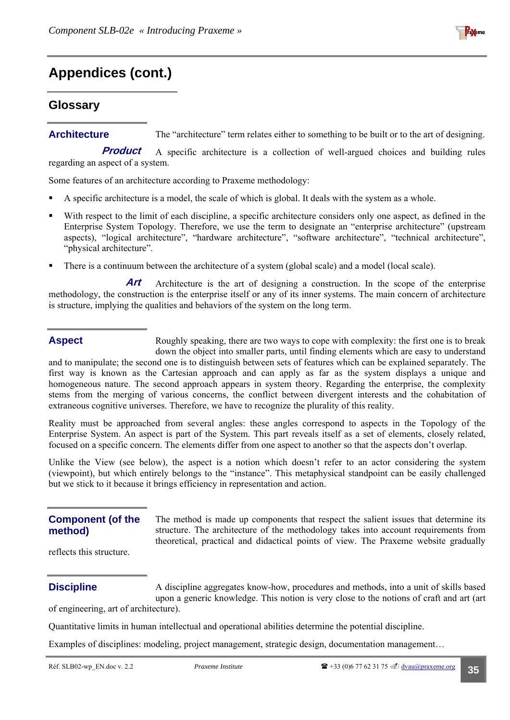

#### <span id="page-34-1"></span><span id="page-34-0"></span>**Glossary**

**Architecture** The "architecture" term relates either to something to be built or to the art of designing.

A specific architecture is a collection of well-argued choices and building rules regarding an aspect of a system. **Product** 

Some features of an architecture according to Praxeme methodology:

- A specific architecture is a model, the scale of which is global. It deals with the system as a whole.
- With respect to the limit of each discipline, a specific architecture considers only one aspect, as defined in the Enterprise System Topology. Therefore, we use the term to designate an "enterprise architecture" (upstream aspects), "logical architecture", "hardware architecture", "software architecture", "technical architecture", "physical architecture".
- There is a continuum between the architecture of a system (global scale) and a model (local scale).

Architecture is the art of designing a construction. In the scope of the enterprise methodology, the construction is the enterprise itself or any of its inner systems. The main concern of architecture is structure, implying the qualities and behaviors of the system on the long term. **Art** 

#### **Aspect**

Roughly speaking, there are two ways to cope with complexity: the first one is to break down the object into smaller parts, until finding elements which are easy to understand

and to manipulate; the second one is to distinguish between sets of features which can be explained separately. The first way is known as the Cartesian approach and can apply as far as the system displays a unique and homogeneous nature. The second approach appears in system theory. Regarding the enterprise, the complexity stems from the merging of various concerns, the conflict between divergent interests and the cohabitation of extraneous cognitive universes. Therefore, we have to recognize the plurality of this reality.

Reality must be approached from several angles: these angles correspond to aspects in the Topology of the Enterprise System. An aspect is part of the System. This part reveals itself as a set of elements, closely related, focused on a specific concern. The elements differ from one aspect to another so that the aspects don't overlap.

Unlike the View (see below), the aspect is a notion which doesn't refer to an actor considering the system (viewpoint), but which entirely belongs to the "instance". This metaphysical standpoint can be easily challenged but we stick to it because it brings efficiency in representation and action.

#### **Component (of the method)**

The method is made up components that respect the salient issues that determine its structure. The architecture of the methodology takes into account requirements from theoretical, practical and didactical points of view. The Praxeme website gradually

reflects this structure.

#### **Discipline**

A discipline aggregates know-how, procedures and methods, into a unit of skills based upon a generic knowledge. This notion is very close to the notions of craft and art (art of engineering, art of architecture).

Quantitative limits in human intellectual and operational abilities determine the potential discipline.

Examples of disciplines: modeling, project management, strategic design, documentation management…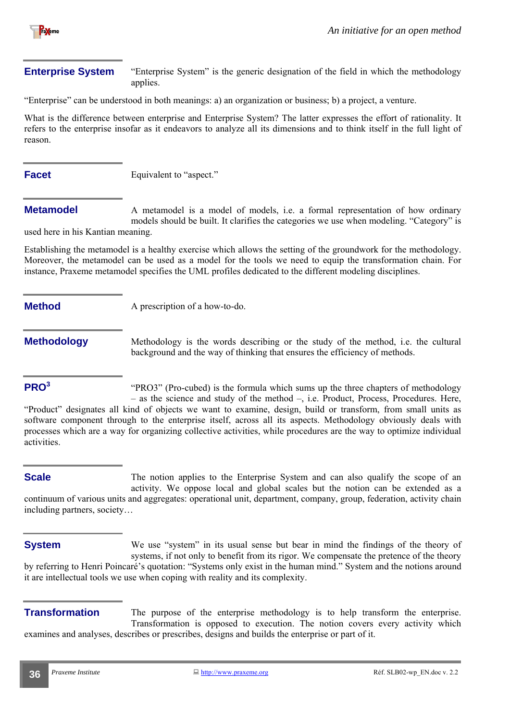

#### **Enterprise System** "Enterprise System" is the generic designation of the field in which the methodology applies.

"Enterprise" can be understood in both meanings: a) an organization or business; b) a project, a venture.

What is the difference between enterprise and Enterprise System? The latter expresses the effort of rationality. It refers to the enterprise insofar as it endeavors to analyze all its dimensions and to think itself in the full light of reason.

**Facet** Equivalent to "aspect."

A metamodel is a model of models, i.e. a formal representation of how ordinary models should be built. It clarifies the categories we use when modeling. "Category" is used here in his Kantian meaning. **Metamodel** 

Establishing the metamodel is a healthy exercise which allows the setting of the groundwork for the methodology. Moreover, the metamodel can be used as a model for the tools we need to equip the transformation chain. For instance, Praxeme metamodel specifies the UML profiles dedicated to the different modeling disciplines.

**Method** A prescription of a how-to-do.

**Methodology** Methodology is the words describing or the study of the method, i.e. the cultural background and the way of thinking that ensures the efficiency of methods.

#### **PRO<sup>3</sup>**

"PRO3" (Pro-cubed) is the formula which sums up the three chapters of methodology – as the science and study of the method –, i.e. Product, Process, Procedures. Here,

"Product" designates all kind of objects we want to examine, design, build or transform, from small units as software component through to the enterprise itself, across all its aspects. Methodology obviously deals with processes which are a way for organizing collective activities, while procedures are the way to optimize individual activities.

#### **Scale**

The notion applies to the Enterprise System and can also qualify the scope of an activity. We oppose local and global scales but the notion can be extended as a continuum of various units and aggregates: operational unit, department, company, group, federation, activity chain including partners, society…

We use "system" in its usual sense but bear in mind the findings of the theory of systems, if not only to benefit from its rigor. We compensate the pretence of the theory by referring to Henri Poincaré's quotation: "Systems only exist in the human mind." System and the notions around it are intellectual tools we use when coping with reality and its complexity. **System** 

The purpose of the enterprise methodology is to help transform the enterprise. Transformation is opposed to execution. The notion covers every activity which examines and analyses, describes or prescribes, designs and builds the enterprise or part of it. **Transformation**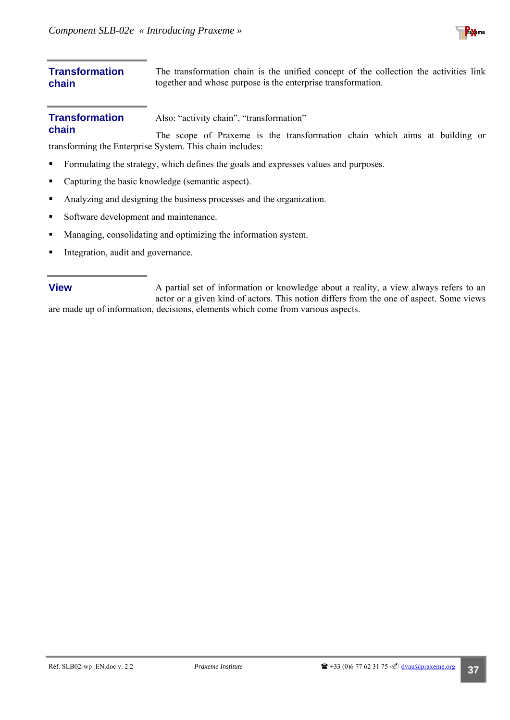

#### **Transformation chain**  The transformation chain is the unified concept of the collection the activities link together and whose purpose is the enterprise transformation.

Also: "activity chain", "transformation" **Transformation** 

The scope of Praxeme is the transformation chain which aims at building or transforming the Enterprise System. This chain includes: **chain** 

- Formulating the strategy, which defines the goals and expresses values and purposes.
- Capturing the basic knowledge (semantic aspect).
- Analyzing and designing the business processes and the organization.
- Software development and maintenance.
- Managing, consolidating and optimizing the information system.
- Integration, audit and governance.

A partial set of information or knowledge about a reality, a view always refers to an actor or a given kind of actors. This notion differs from the one of aspect. Some views are made up of information, decisions, elements which come from various aspects. **View**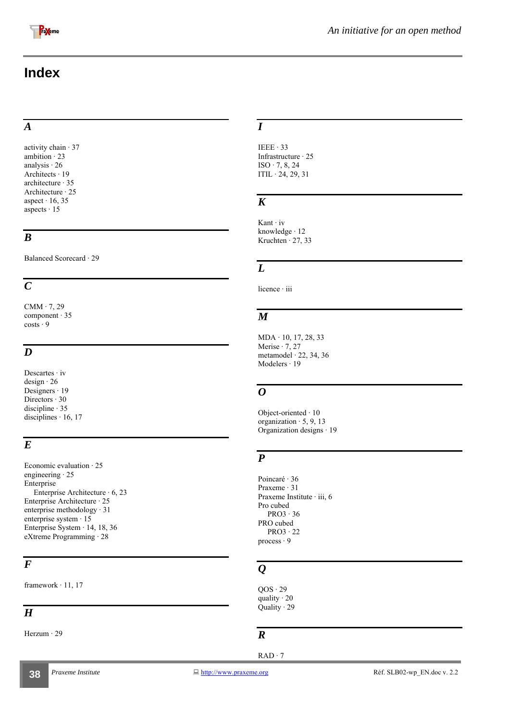<span id="page-37-0"></span>

## **Index**

#### *A*

activity chain · 37 ambition  $\cdot$  23 analysis · 26 Architects · 19 architecture · 35 Architecture · 25 aspect  $\cdot$  16, 35 aspects  $\cdot 15$ 

#### *B*

Balanced Scorecard · 29

#### *C*

 $CMM \cdot 7, 29$ component · 35  $costs \cdot 9$ 

#### *D*

Descartes · iv design · 26 Designers · 19 Directors · 30 discipline · 35 disciplines  $\cdot$  16, 17

#### *E*

Economic evaluation · 25 engineering · 25 Enterprise Enterprise Architecture · 6, 23 Enterprise Architecture · 25 enterprise methodology · 31 enterprise system · 15 Enterprise System · 14, 18, 36 eXtreme Programming · 28

#### *F*

framework · 11, 17

### $\overline{H}$

Herzum · 29

#### *I*

IEEE · 33 Infrastructure · 25  $ISO \cdot 7, 8, 24$  $ITIL \cdot 24, 29, 31$ 

### *K*

Kant · iv knowledge · 12 Kruchten  $\cdot$  27, 33

#### *L*

licence · iii

#### *M*

MDA · 10, 17, 28, 33 Merise  $\cdot$  7, 27 metamodel · 22, 34, 36 Modelers · 19

#### *O*

Object-oriented · 10 organization  $\cdot$  5, 9, 13 Organization designs · 19

#### *P*

Poincaré · 36 Praxeme · 31 Praxeme Institute · iii, 6 Pro cubed  $PRO3 \cdot 36$ PRO cubed PRO3 · 22 process · 9

## *Q*

 $QOS \cdot 29$ quality  $\cdot$  20 Quality · 29

#### *R*

RAD · 7